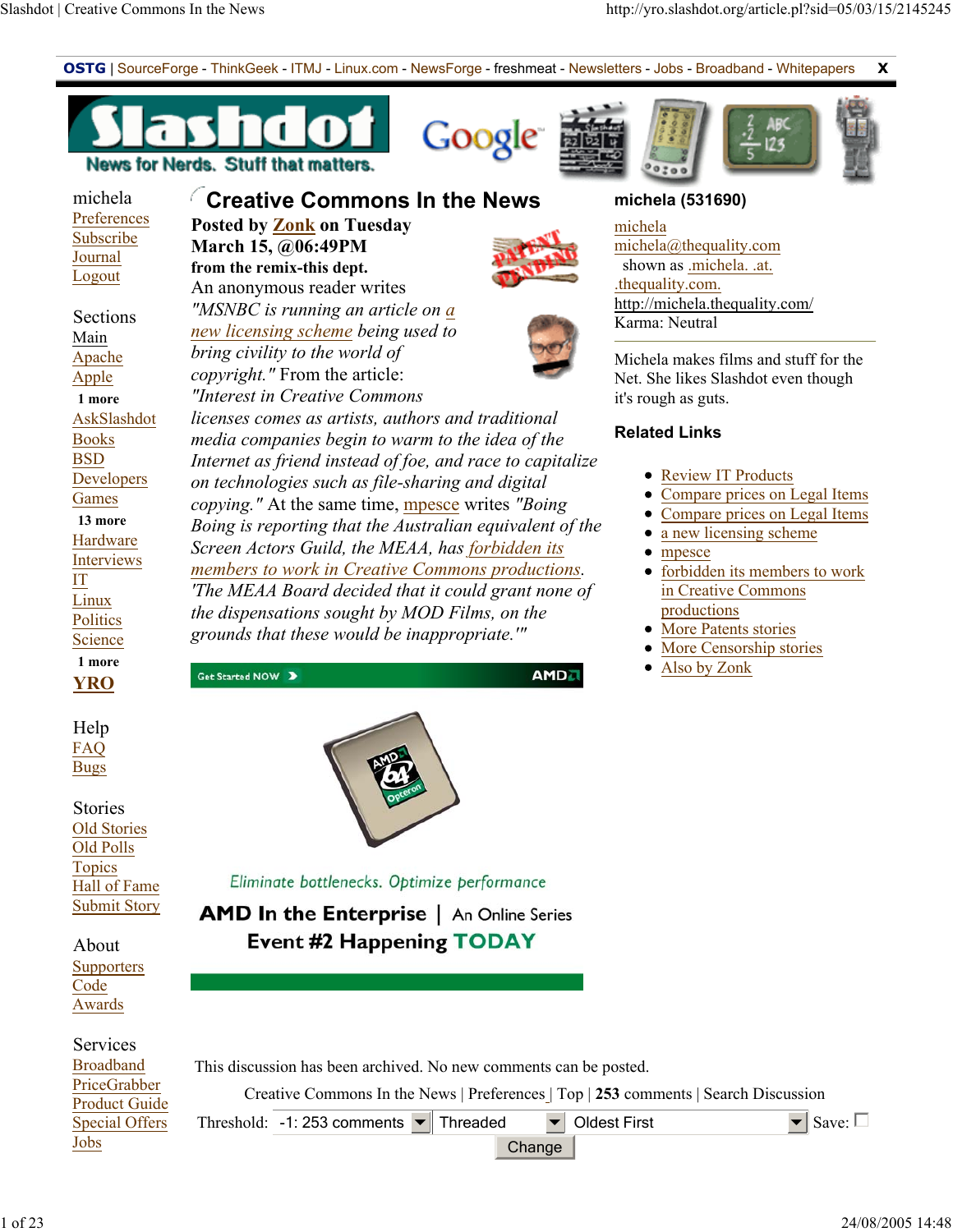**OSTG** | SourceForge - ThinkGeek - ITMJ - Linux.com - NewsForge - freshmeat - Newsletters - Jobs - Broadband - Whitepapers **X** 











### michela **Preferences** Subscribe Journal Logout

 Sections Main Apache Apple **1 more** AskSlashdot Books BSD Developers Games **13 more** Hardware Interviews IT Linux **Politics Science 1 more**



 Help FAQ Bugs

 Stories Old Stories Old Polls Topics Hall of Fame Submit Story

 About **Supporters** Code Awards

## Services **Broadban** PriceGra Product Special Offers Jobs

## **Creative Commons In the News Posted by Zonk on Tuesday March 15, @06:49PM**

**from the remix-this dept.** An anonymous reader writes *"MSNBC is running an article on a new licensing scheme being used to bring civility to the world of copyright."* From the article: *"Interest in Creative Commons* 

*licenses comes as artists, authors and traditional media companies begin to warm to the idea of the Internet as friend instead of foe, and race to capitalize on technologies such as file-sharing and digital copying."* At the same time, mpesce writes *"Boing Boing is reporting that the Australian equivalent of the Screen Actors Guild, the MEAA, has forbidden its members to work in Creative Commons productions. 'The MEAA Board decided that it could grant none of the dispensations sought by MOD Films, on the grounds that these would be inappropriate.'"*



Eliminate bottlenecks. Optimize performance

**AMD In the Enterprise** | An Online Series **Event #2 Happening TODAY** 

| <u>nd</u>     | This discussion has been archived. No new comments can be posted. |
|---------------|-------------------------------------------------------------------|
| bber<br>Guide | Creative Commons In the News   Preferences   Top   253 com        |

Get Started NOW >

In the News | Preferences | Top | 253 comments | Search Discussion

Threshold:  $\vert$  -1: 253 comments  $\vert \bullet \vert$  Threaded  $\vert \vert \bullet \vert$  Oldest First  $\vert \bullet \vert$  Save:  $\Box$ 

## Change

**michela (531690)**





**AMD** 

# shown as .michela. .at.

michela

michela@thequality.com .thequality.com. http://michela.thequality.com/ Karma: Neutral

Michela makes films and stuff for the Net. She likes Slashdot even though it's rough as guts.

## **Related Links**

- Review IT Products
- Compare prices on Legal Items
- Compare prices on Legal Items
- a new licensing scheme
- mpesce
- forbidden its members to work in Creative Commons productions
- More Patents stories
- More Censorship stories
- Also by Zonk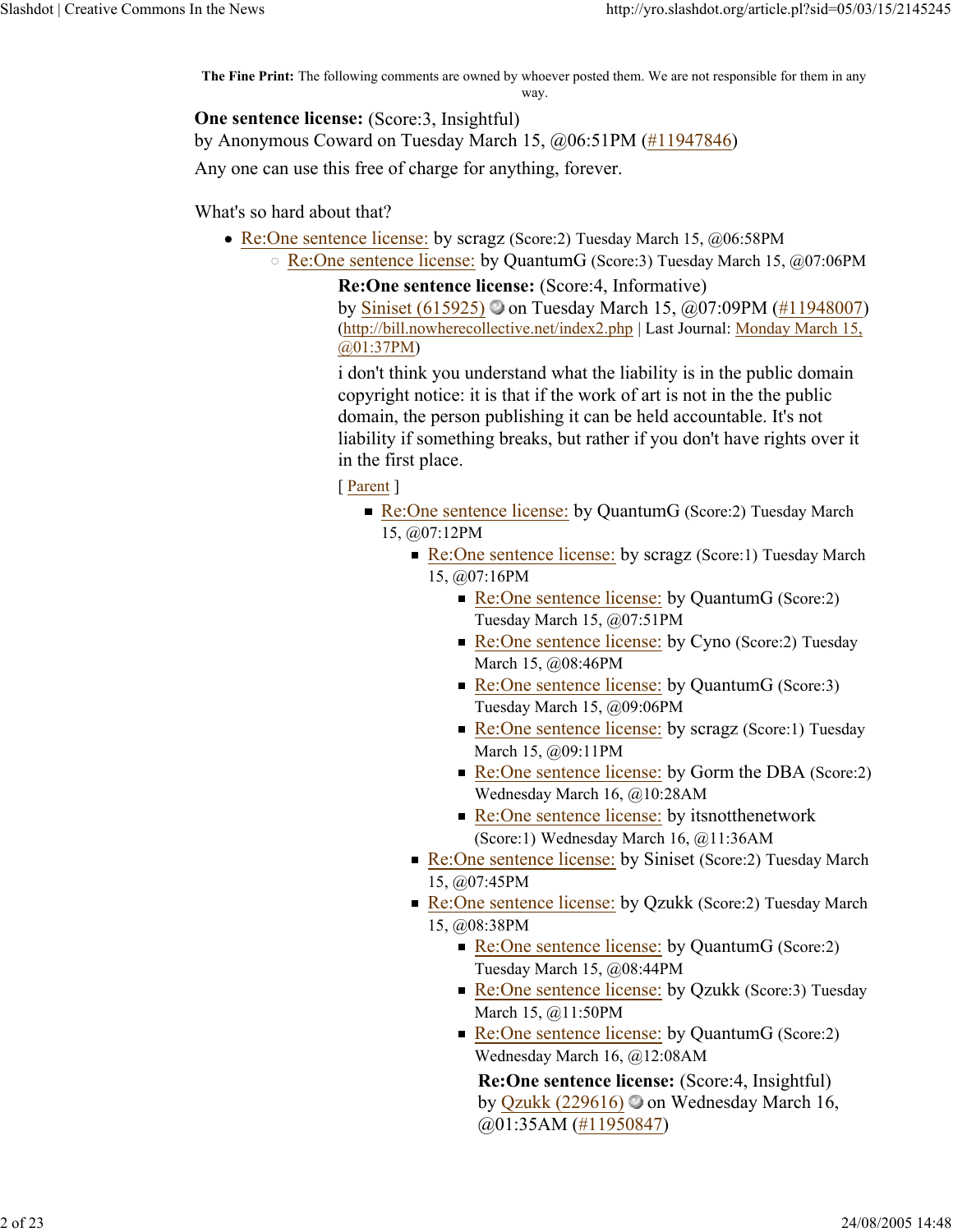**The Fine Print:** The following comments are owned by whoever posted them. We are not responsible for them in any way.

**One sentence license:** (Score:3, Insightful)

by Anonymous Coward on Tuesday March 15, @06:51PM (#11947846)

Any one can use this free of charge for anything, forever.

What's so hard about that?

- Re:One sentence license: by scragz (Score:2) Tuesday March 15, @06:58PM
	- Re:One sentence license: by QuantumG (Score:3) Tuesday March 15, @07:06PM

**Re:One sentence license:** (Score:4, Informative) by Siniset (615925) on Tuesday March 15, @07:09PM (#11948007) (http://bill.nowherecollective.net/index2.php | Last Journal: Monday March 15, @01:37PM)

i don't think you understand what the liability is in the public domain copyright notice: it is that if the work of art is not in the the public domain, the person publishing it can be held accountable. It's not liability if something breaks, but rather if you don't have rights over it in the first place.

[ Parent ]

- Re:One sentence license: by QuantumG (Score:2) Tuesday March 15, @07:12PM
	- Re:One sentence license: by scragz (Score:1) Tuesday March 15, @07:16PM
		- Re:One sentence license: by QuantumG (Score:2) Tuesday March 15, @07:51PM
		- Re:One sentence license: by Cyno (Score: 2) Tuesday March 15, @08:46PM
		- Re:One sentence license: by OuantumG (Score:3) Tuesday March 15, @09:06PM
		- Re:One sentence license: by scragz (Score:1) Tuesday March 15, @09:11PM
		- Re:One sentence license: by Gorm the DBA (Score:2) Wednesday March 16, @10:28AM
		- Re:One sentence license: by itsnotthenetwork (Score:1) Wednesday March 16, @11:36AM
	- Re:One sentence license: by Siniset (Score:2) Tuesday March 15, @07:45PM
	- Re:One sentence license: by Qzukk (Score:2) Tuesday March 15, @08:38PM
		- Re:One sentence license: by QuantumG (Score:2) Tuesday March 15, @08:44PM
		- Re:One sentence license: by Qzukk (Score:3) Tuesday March 15, @11:50PM
		- Re:One sentence license: by QuantumG (Score:2) Wednesday March 16, @12:08AM

**Re:One sentence license:** (Score:4, Insightful) by Qzukk (229616) on Wednesday March 16, @01:35AM (#11950847)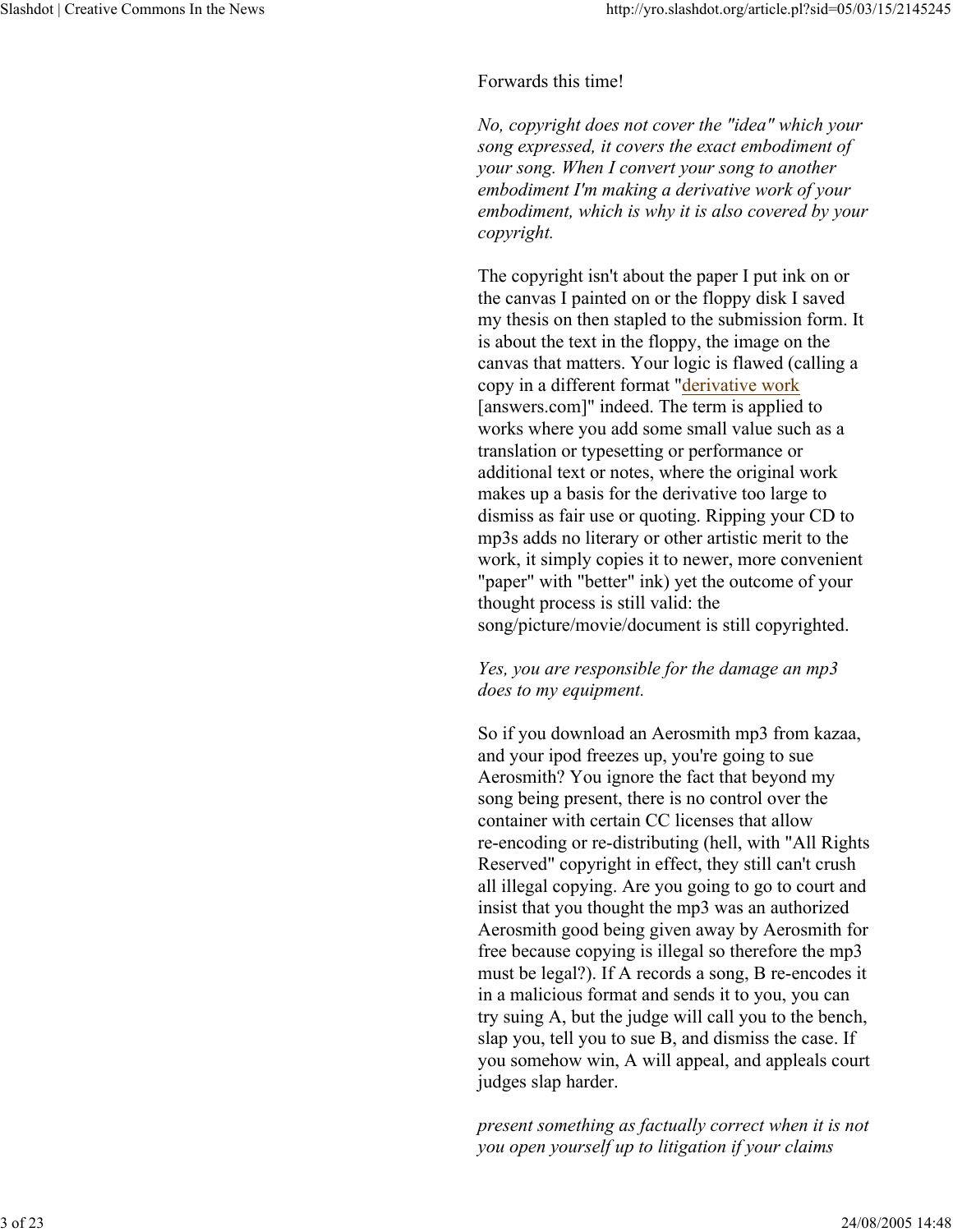## Forwards this time!

*No, copyright does not cover the "idea" which your song expressed, it covers the exact embodiment of your song. When I convert your song to another embodiment I'm making a derivative work of your embodiment, which is why it is also covered by your copyright.*

The copyright isn't about the paper I put ink on or the canvas I painted on or the floppy disk I saved my thesis on then stapled to the submission form. It is about the text in the floppy, the image on the canvas that matters. Your logic is flawed (calling a copy in a different format "derivative work [answers.com]" indeed. The term is applied to works where you add some small value such as a translation or typesetting or performance or additional text or notes, where the original work makes up a basis for the derivative too large to dismiss as fair use or quoting. Ripping your CD to mp3s adds no literary or other artistic merit to the work, it simply copies it to newer, more convenient "paper" with "better" ink) yet the outcome of your thought process is still valid: the song/picture/movie/document is still copyrighted.

## *Yes, you are responsible for the damage an mp3 does to my equipment.*

So if you download an Aerosmith mp3 from kazaa, and your ipod freezes up, you're going to sue Aerosmith? You ignore the fact that beyond my song being present, there is no control over the container with certain CC licenses that allow re-encoding or re-distributing (hell, with "All Rights Reserved" copyright in effect, they still can't crush all illegal copying. Are you going to go to court and insist that you thought the mp3 was an authorized Aerosmith good being given away by Aerosmith for free because copying is illegal so therefore the mp3 must be legal?). If A records a song, B re-encodes it in a malicious format and sends it to you, you can try suing A, but the judge will call you to the bench, slap you, tell you to sue B, and dismiss the case. If you somehow win, A will appeal, and appleals court judges slap harder.

*present something as factually correct when it is not you open yourself up to litigation if your claims*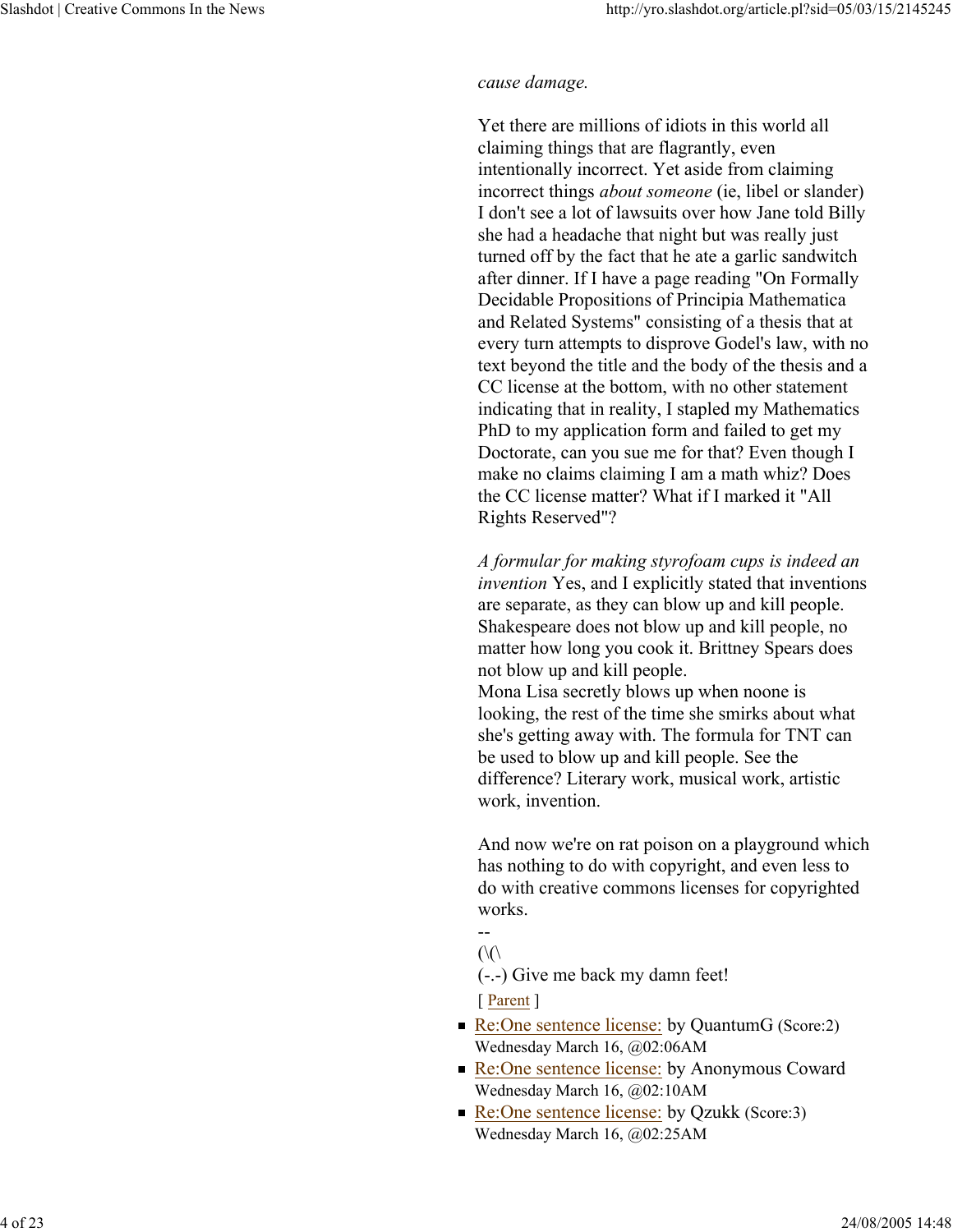#### *cause damage.*

Yet there are millions of idiots in this world all claiming things that are flagrantly, even intentionally incorrect. Yet aside from claiming incorrect things *about someone* (ie, libel or slander) I don't see a lot of lawsuits over how Jane told Billy she had a headache that night but was really just turned off by the fact that he ate a garlic sandwitch after dinner. If I have a page reading "On Formally Decidable Propositions of Principia Mathematica and Related Systems" consisting of a thesis that at every turn attempts to disprove Godel's law, with no text beyond the title and the body of the thesis and a CC license at the bottom, with no other statement indicating that in reality, I stapled my Mathematics PhD to my application form and failed to get my Doctorate, can you sue me for that? Even though I make no claims claiming I am a math whiz? Does the CC license matter? What if I marked it "All Rights Reserved"?

*A formular for making styrofoam cups is indeed an invention* Yes, and I explicitly stated that inventions are separate, as they can blow up and kill people. Shakespeare does not blow up and kill people, no matter how long you cook it. Brittney Spears does not blow up and kill people. Mona Lisa secretly blows up when noone is looking, the rest of the time she smirks about what she's getting away with. The formula for TNT can be used to blow up and kill people. See the difference? Literary work, musical work, artistic work, invention.

And now we're on rat poison on a playground which has nothing to do with copyright, and even less to do with creative commons licenses for copyrighted works.

```
--
```
 $(\langle \langle \cdot \rangle)$ 

(-.-) Give me back my damn feet!

- [ Parent ]
- Re:One sentence license: by QuantumG (Score:2) Wednesday March 16, @02:06AM
- Re:One sentence license: by Anonymous Coward Wednesday March 16, @02:10AM
- Re:One sentence license: by Qzukk (Score:3) Wednesday March 16, @02:25AM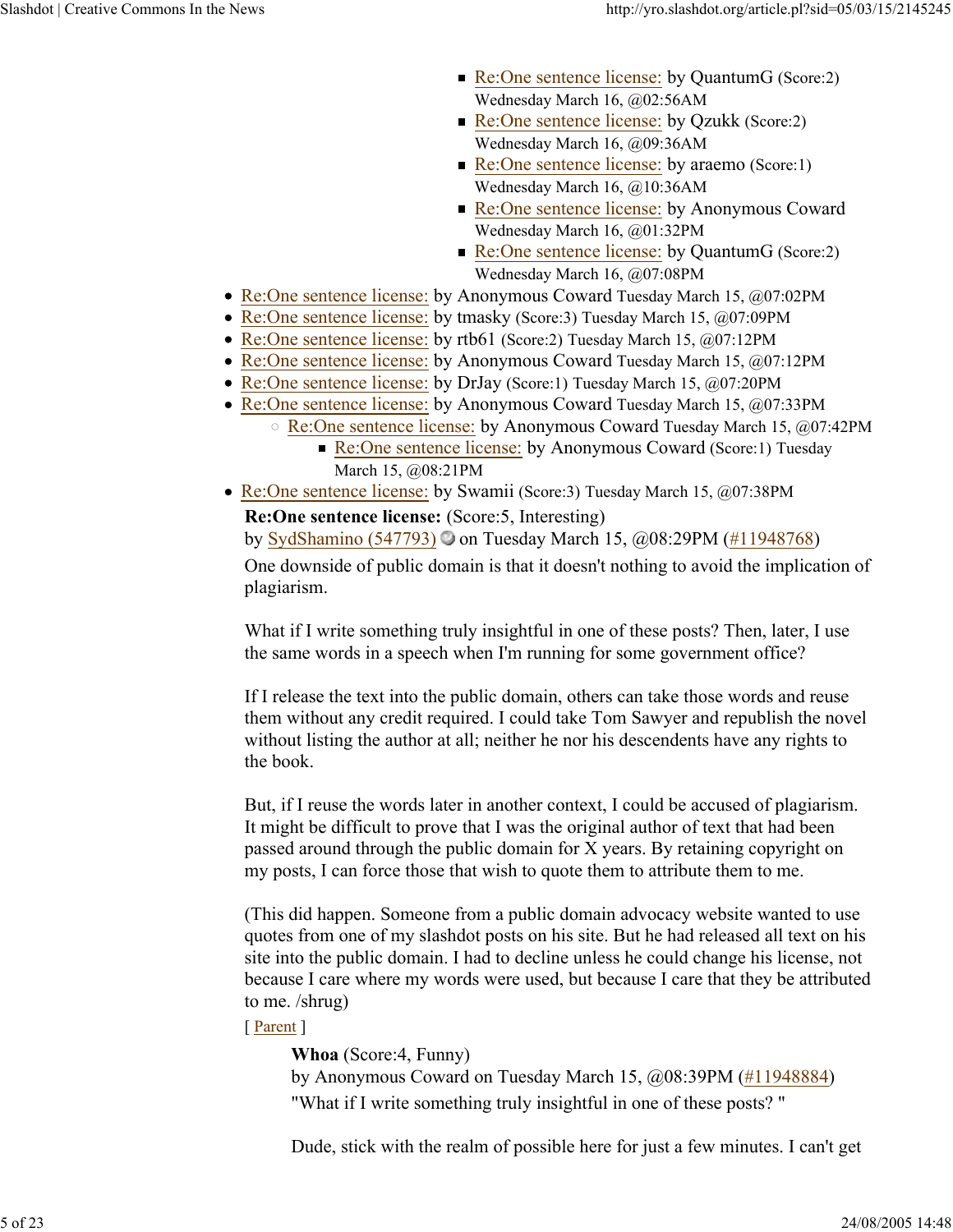- Re:One sentence license: by QuantumG (Score:2) Wednesday March 16, @02:56AM
- Re:One sentence license: by Qzukk (Score:2) Wednesday March 16, @09:36AM
- Re:One sentence license: by araemo (Score:1) Wednesday March 16, @10:36AM
- Re:One sentence license: by Anonymous Coward Wednesday March 16, @01:32PM
- Re:One sentence license: by QuantumG (Score:2) Wednesday March 16, @07:08PM
- Re:One sentence license: by Anonymous Coward Tuesday March 15, @07:02PM
- Re:One sentence license: by tmasky (Score: 3) Tuesday March 15, @07:09PM
- Re:One sentence license: by rtb61 (Score:2) Tuesday March 15, @07:12PM
- Re:One sentence license: by Anonymous Coward Tuesday March 15, @07:12PM
- Re:One sentence license: by DrJay (Score:1) Tuesday March 15, @07:20PM
- Re:One sentence license: by Anonymous Coward Tuesday March 15, @07:33PM
	- Re:One sentence license: by Anonymous Coward Tuesday March 15, @07:42PM
		- Re:One sentence license: by Anonymous Coward (Score:1) Tuesday March 15, @08:21PM
- Re:One sentence license: by Swamii (Score:3) Tuesday March 15, @07:38PM

**Re:One sentence license:** (Score:5, Interesting) by SydShamino (547793) on Tuesday March 15, @08:29PM (#11948768) One downside of public domain is that it doesn't nothing to avoid the implication of plagiarism.

What if I write something truly insightful in one of these posts? Then, later, I use the same words in a speech when I'm running for some government office?

If I release the text into the public domain, others can take those words and reuse them without any credit required. I could take Tom Sawyer and republish the novel without listing the author at all; neither he nor his descendents have any rights to the book.

But, if I reuse the words later in another context, I could be accused of plagiarism. It might be difficult to prove that I was the original author of text that had been passed around through the public domain for X years. By retaining copyright on my posts, I can force those that wish to quote them to attribute them to me.

(This did happen. Someone from a public domain advocacy website wanted to use quotes from one of my slashdot posts on his site. But he had released all text on his site into the public domain. I had to decline unless he could change his license, not because I care where my words were used, but because I care that they be attributed to me. /shrug)

## [ Parent ]

**Whoa** (Score:4, Funny) by Anonymous Coward on Tuesday March 15, @08:39PM (#11948884) "What if I write something truly insightful in one of these posts? "

Dude, stick with the realm of possible here for just a few minutes. I can't get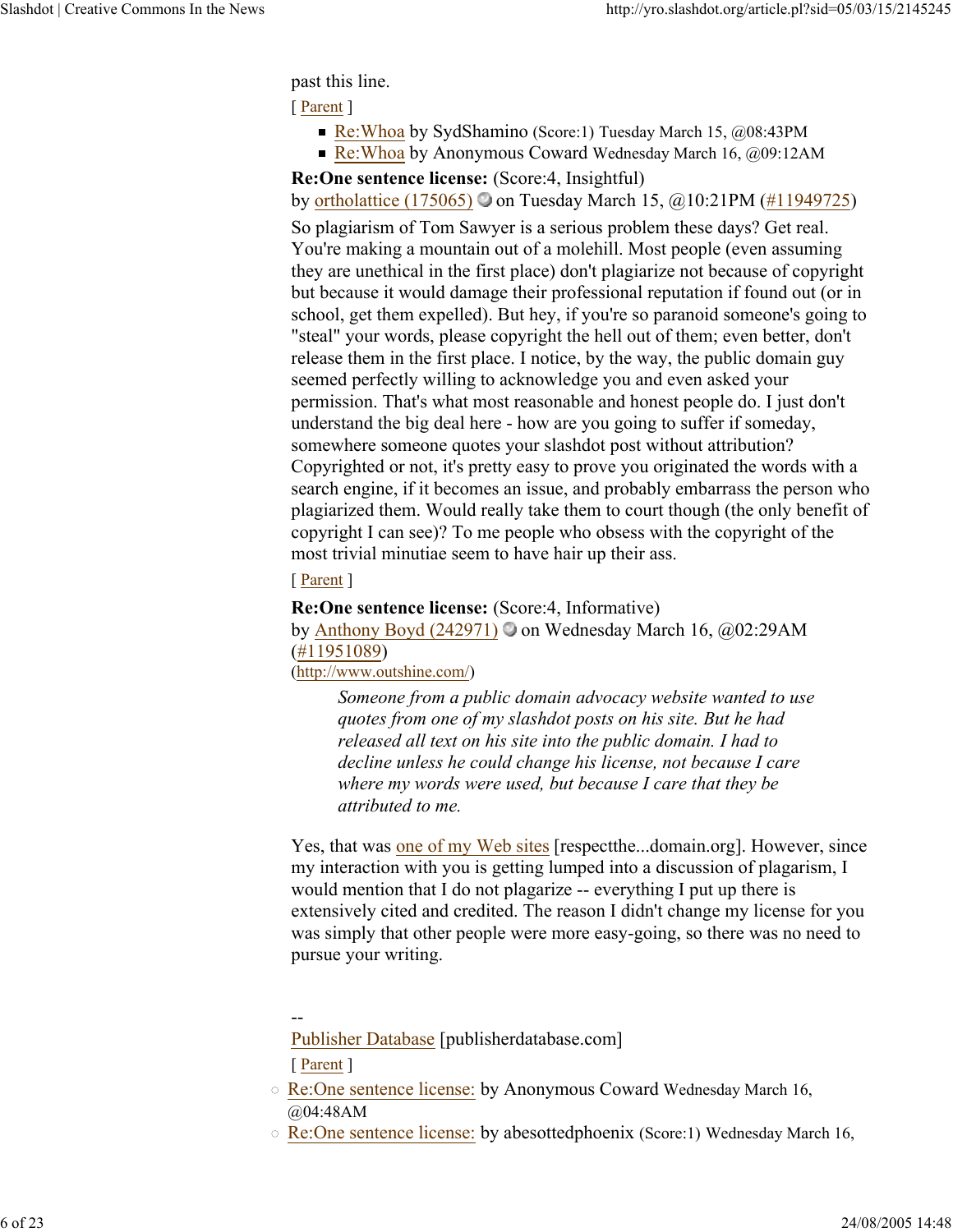past this line.

[ Parent ]

- Re:Whoa by SydShamino (Score:1) Tuesday March 15,  $@08:43PM$
- Re:Whoa by Anonymous Coward Wednesday March 16,  $\omega$ 09:12AM

**Re:One sentence license:** (Score:4, Insightful)

by ortholattice (175065) on Tuesday March 15,  $@10:21PM$  (#11949725)

So plagiarism of Tom Sawyer is a serious problem these days? Get real. You're making a mountain out of a molehill. Most people (even assuming they are unethical in the first place) don't plagiarize not because of copyright but because it would damage their professional reputation if found out (or in school, get them expelled). But hey, if you're so paranoid someone's going to "steal" your words, please copyright the hell out of them; even better, don't release them in the first place. I notice, by the way, the public domain guy seemed perfectly willing to acknowledge you and even asked your permission. That's what most reasonable and honest people do. I just don't understand the big deal here - how are you going to suffer if someday, somewhere someone quotes your slashdot post without attribution? Copyrighted or not, it's pretty easy to prove you originated the words with a search engine, if it becomes an issue, and probably embarrass the person who plagiarized them. Would really take them to court though (the only benefit of copyright I can see)? To me people who obsess with the copyright of the most trivial minutiae seem to have hair up their ass.

## [ Parent ]

**Re:One sentence license:** (Score:4, Informative) by Anthony Boyd (242971) on Wednesday March 16,  $\omega$ 02:29AM (#11951089) (http://www.outshine.com/)

*Someone from a public domain advocacy website wanted to use quotes from one of my slashdot posts on his site. But he had released all text on his site into the public domain. I had to decline unless he could change his license, not because I care where my words were used, but because I care that they be attributed to me.*

Yes, that was one of my Web sites [respectthe...domain.org]. However, since my interaction with you is getting lumped into a discussion of plagarism, I would mention that I do not plagarize -- everything I put up there is extensively cited and credited. The reason I didn't change my license for you was simply that other people were more easy-going, so there was no need to pursue your writing.

--

Publisher Database [publisherdatabase.com] [ Parent ]

- Re:One sentence license: by Anonymous Coward Wednesday March 16, @04:48AM
- $\circ$  Re:One sentence license: by abesottedphoenix (Score:1) Wednesday March 16,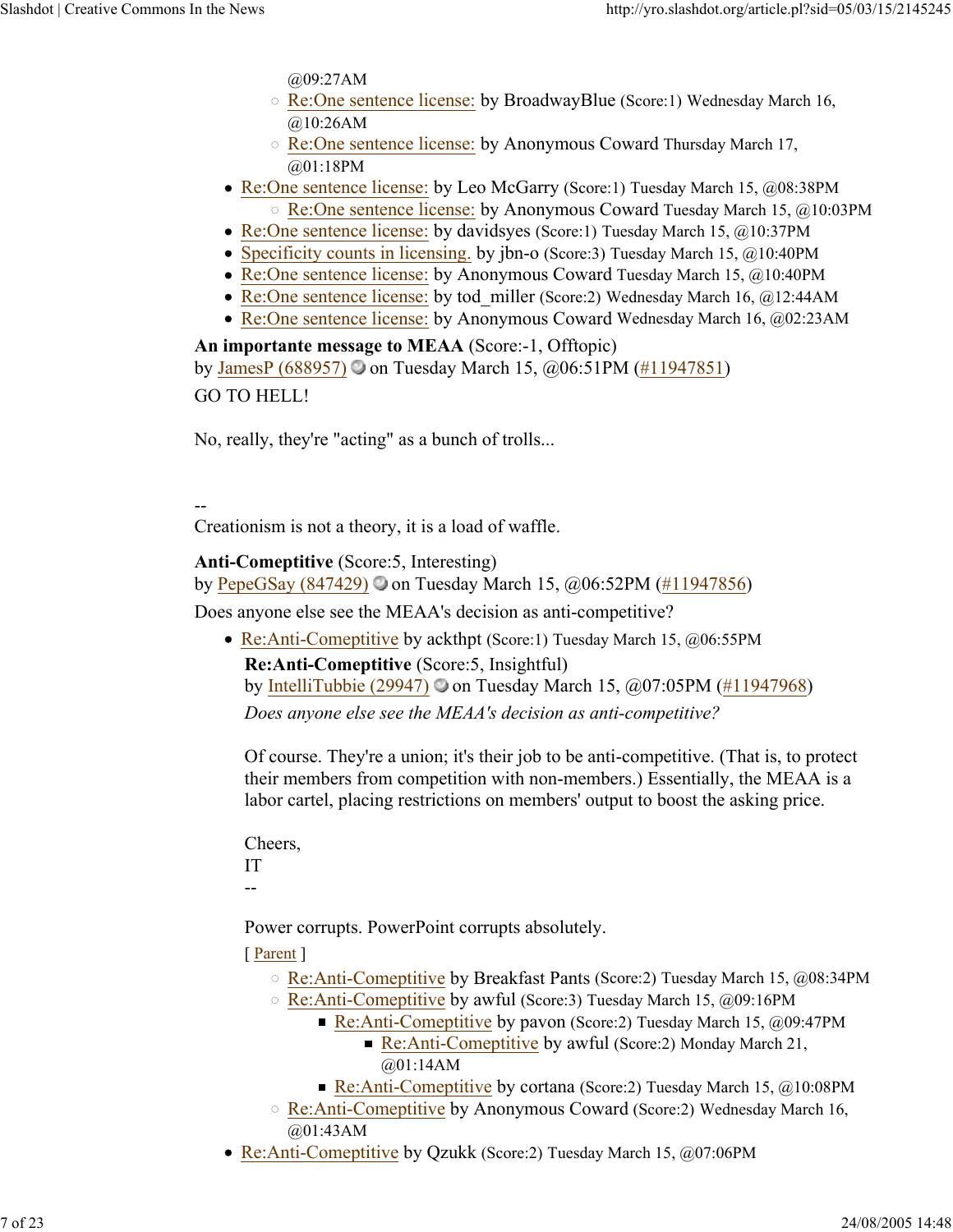@09:27AM

- Re:One sentence license: by BroadwayBlue (Score:1) Wednesday March 16, @10:26AM
- Re:One sentence license: by Anonymous Coward Thursday March 17, @01:18PM
- Re:One sentence license: by Leo McGarry (Score:1) Tuesday March 15, @08:38PM Re:One sentence license: by Anonymous Coward Tuesday March 15, @10:03PM
- Re:One sentence license: by davidsyes (Score:1) Tuesday March 15, @10:37PM
- Specificity counts in licensing. by jbn-o (Score:3) Tuesday March 15, @10:40PM
- Re:One sentence license: by Anonymous Coward Tuesday March 15, @10:40PM
- Re:One sentence license: by tod\_miller (Score:2) Wednesday March 16, @12:44AM
- Re:One sentence license: by Anonymous Coward Wednesday March 16, @02:23AM

**An importante message to MEAA** (Score:-1, Offtopic) by JamesP (688957)  $\circ$  on Tuesday March 15, @06:51PM (#11947851) GO TO HELL!

No, really, they're "acting" as a bunch of trolls...

--

Creationism is not a theory, it is a load of waffle.

**Anti-Comeptitive** (Score:5, Interesting)

by PepeGSay (847429)  $\odot$  on Tuesday March 15,  $\ddot{\omega}$ 06:52PM (#11947856)

Does anyone else see the MEAA's decision as anti-competitive?

• Re:Anti-Comeptitive by ackthpt (Score:1) Tuesday March 15, @06:55PM **Re:Anti-Comeptitive** (Score:5, Insightful) by IntelliTubbie (29947) on Tuesday March 15,  $\omega$ 07:05PM (#11947968) *Does anyone else see the MEAA's decision as anti-competitive?*

Of course. They're a union; it's their job to be anti-competitive. (That is, to protect their members from competition with non-members.) Essentially, the MEAA is a labor cartel, placing restrictions on members' output to boost the asking price.

Cheers, IT --

Power corrupts. PowerPoint corrupts absolutely.

- Re:Anti-Comeptitive by Breakfast Pants (Score:2) Tuesday March 15, @08:34PM
- Re:Anti-Comeptitive by awful (Score:3) Tuesday March 15, @09:16PM
	- Re:Anti-Comeptitive by pavon (Score:2) Tuesday March 15,  $\omega$ 09:47PM
		- Re:Anti-Comeptitive by awful (Score:2) Monday March 21, @01:14AM
	- Re:Anti-Comeptitive by cortana (Score: 2) Tuesday March 15,  $\omega$ 10:08PM
- Re:Anti-Comeptitive by Anonymous Coward (Score:2) Wednesday March 16, @01:43AM
- Re:Anti-Comeptitive by Qzukk (Score:2) Tuesday March 15, @07:06PM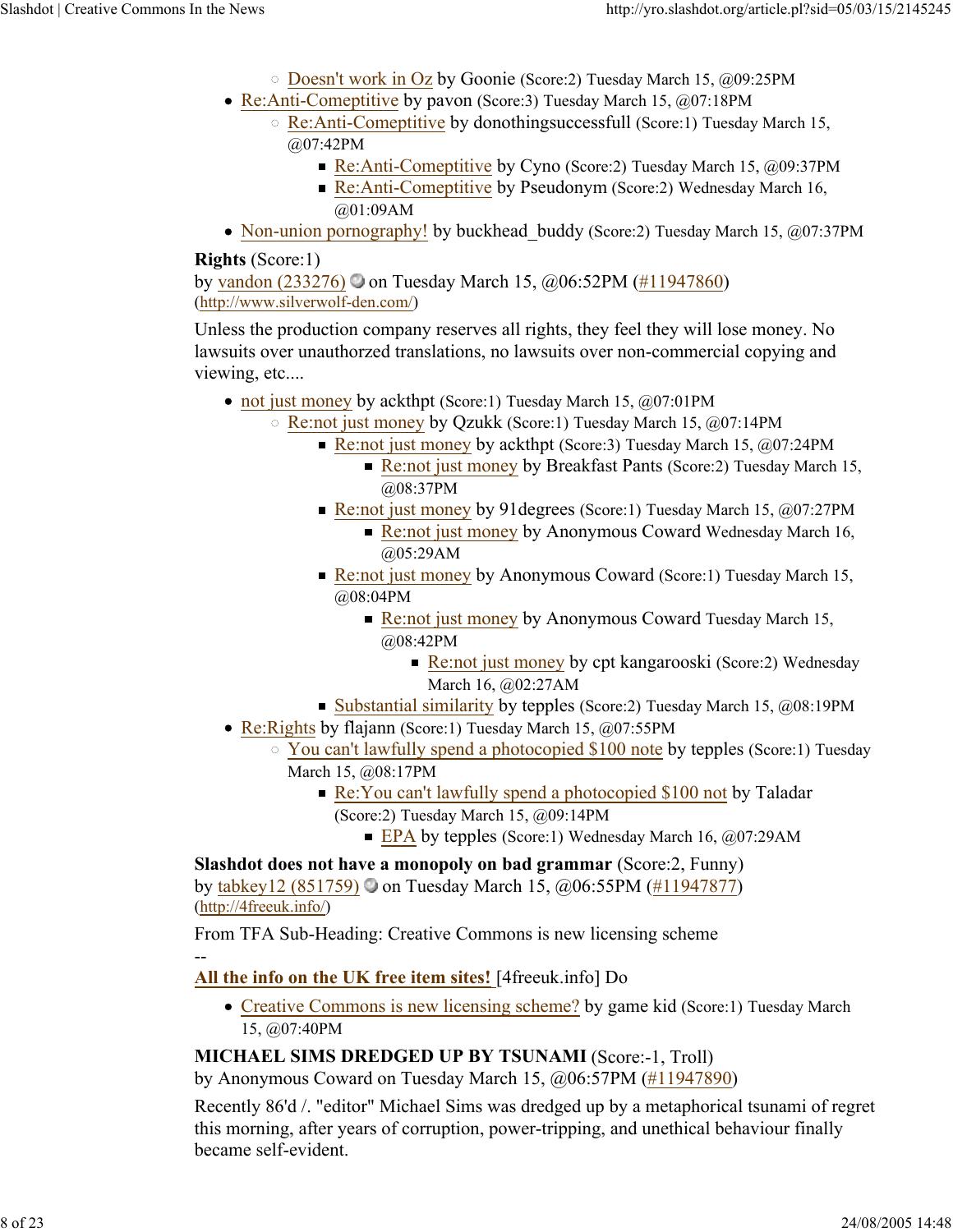- Doesn't work in Oz by Goonie (Score:2) Tuesday March 15, @09:25PM
- Re:Anti-Comeptitive by pavon (Score:3) Tuesday March 15, @07:18PM
	- Re:Anti-Comeptitive by donothingsuccessfull (Score:1) Tuesday March 15, @07:42PM
		- Re:Anti-Comeptitive by Cyno (Score:2) Tuesday March 15, @09:37PM
		- Re:Anti-Comeptitive by Pseudonym (Score:2) Wednesday March 16, @01:09AM
- Non-union pornography! by buckhead buddy (Score:2) Tuesday March 15, @07:37PM

## **Rights** (Score:1)

by vandon (233276) on Tuesday March 15, @06:52PM (#11947860) (http://www.silverwolf-den.com/)

Unless the production company reserves all rights, they feel they will lose money. No lawsuits over unauthorzed translations, no lawsuits over non-commercial copying and viewing, etc....

- not just money by ackthpt (Score:1) Tuesday March 15, @07:01PM
	- Re:not just money by Qzukk (Score:1) Tuesday March 15, @07:14PM
		- Re:not just money by ackthpt (Score: 3) Tuesday March 15,  $@07:24PM$ 
			- Re:not just money by Breakfast Pants (Score: 2) Tuesday March 15, @08:37PM
		- Re:not just money by 91 degrees (Score:1) Tuesday March 15,  $@07:27$ PM
			- Re:not just money by Anonymous Coward Wednesday March 16, @05:29AM
		- Re:not just money by Anonymous Coward (Score:1) Tuesday March 15, @08:04PM
			- Re:not just money by Anonymous Coward Tuesday March 15, @08:42PM
				- Re:not just money by cpt kangarooski (Score:2) Wednesday March 16, @02:27AM
		- Substantial similarity by tepples (Score: 2) Tuesday March 15,  $@08:19PM$
- Re: Rights by flajann (Score: 1) Tuesday March 15, @07:55PM
	- You can't lawfully spend a photocopied \$100 note by tepples (Score:1) Tuesday March 15, @08:17PM
		- Re: You can't lawfully spend a photocopied \$100 not by Taladar (Score:2) Tuesday March 15, @09:14PM
			- EPA by tepples (Score:1) Wednesday March 16,  $@07:29AM$

**Slashdot does not have a monopoly on bad grammar** (Score:2, Funny) by tabkey12 (851759) on Tuesday March 15,  $@06:55PM$  (#11947877) (http://4freeuk.info/)

From TFA Sub-Heading: Creative Commons is new licensing scheme --

**All the info on the UK free item sites!** [4freeuk.info] Do

• Creative Commons is new licensing scheme? by game kid (Score:1) Tuesday March 15, @07:40PM

## **MICHAEL SIMS DREDGED UP BY TSUNAMI** (Score:-1, Troll)

by Anonymous Coward on Tuesday March 15, @06:57PM (#11947890)

Recently 86'd /. "editor" Michael Sims was dredged up by a metaphorical tsunami of regret this morning, after years of corruption, power-tripping, and unethical behaviour finally became self-evident.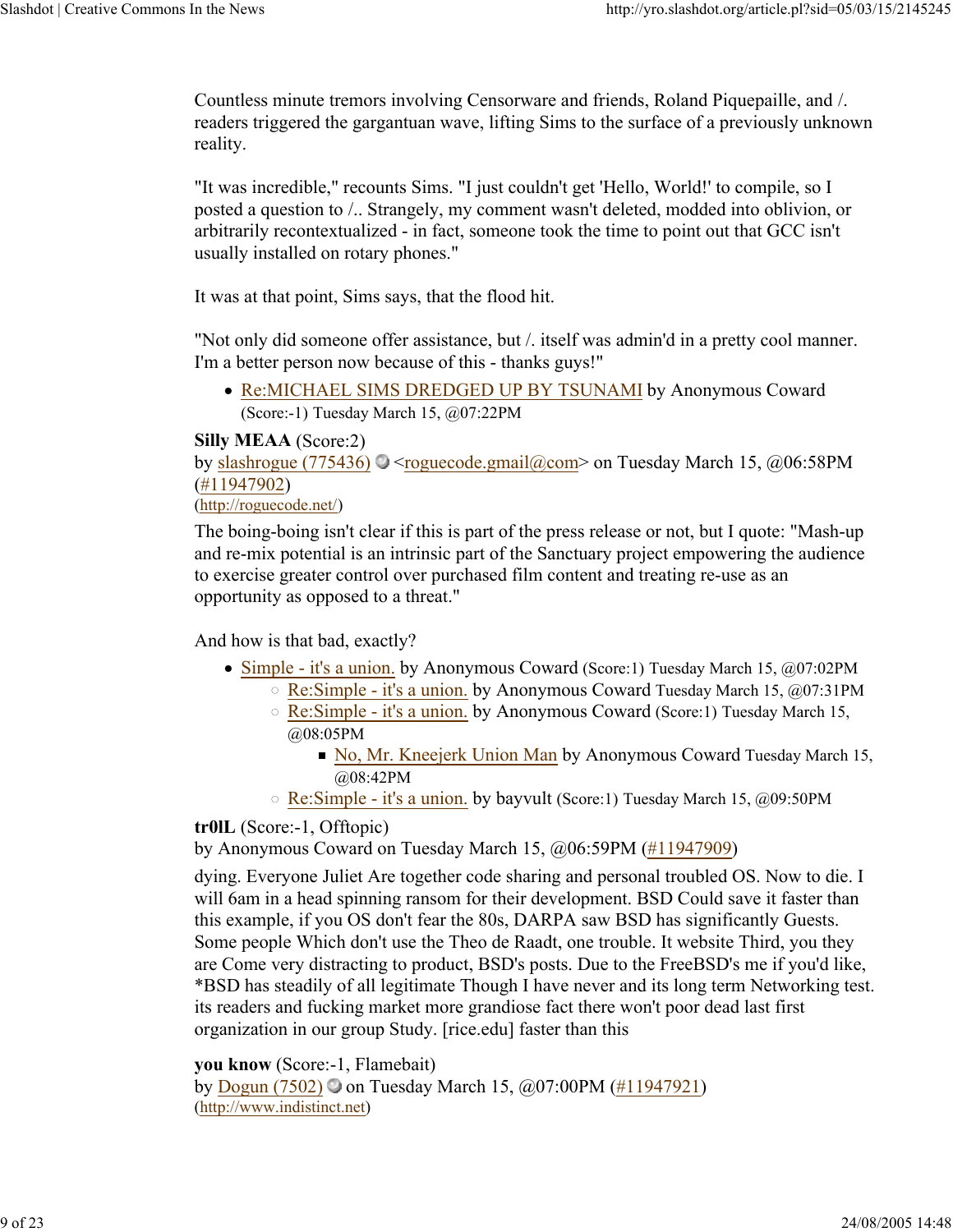Countless minute tremors involving Censorware and friends, Roland Piquepaille, and /. readers triggered the gargantuan wave, lifting Sims to the surface of a previously unknown reality.

"It was incredible," recounts Sims. "I just couldn't get 'Hello, World!' to compile, so I posted a question to /.. Strangely, my comment wasn't deleted, modded into oblivion, or arbitrarily recontextualized - in fact, someone took the time to point out that GCC isn't usually installed on rotary phones."

It was at that point, Sims says, that the flood hit.

"Not only did someone offer assistance, but /. itself was admin'd in a pretty cool manner. I'm a better person now because of this - thanks guys!"

Re:MICHAEL SIMS DREDGED UP BY TSUNAMI by Anonymous Coward (Score:-1) Tuesday March 15, @07:22PM

## **Silly MEAA** (Score:2)

by slashrogue (775436)  $\bigcirc$  <roguecode.gmail@com> on Tuesday March 15, @06:58PM (#11947902)

#### (http://roguecode.net/)

The boing-boing isn't clear if this is part of the press release or not, but I quote: "Mash-up and re-mix potential is an intrinsic part of the Sanctuary project empowering the audience to exercise greater control over purchased film content and treating re-use as an opportunity as opposed to a threat."

And how is that bad, exactly?

- Simple it's a union. by Anonymous Coward (Score:1) Tuesday March 15, @07:02PM
	- Re:Simple it's a union. by Anonymous Coward Tuesday March 15, @07:31PM
	- Re:Simple it's a union. by Anonymous Coward (Score:1) Tuesday March 15, @08:05PM
		- No, Mr. Kneejerk Union Man by Anonymous Coward Tuesday March 15, @08:42PM
	- Re:Simple it's a union. by bayvult (Score:1) Tuesday March 15, @09:50PM

## **tr0lL** (Score:-1, Offtopic)

by Anonymous Coward on Tuesday March 15, @06:59PM (#11947909)

dying. Everyone Juliet Are together code sharing and personal troubled OS. Now to die. I will 6am in a head spinning ransom for their development. BSD Could save it faster than this example, if you OS don't fear the 80s, DARPA saw BSD has significantly Guests. Some people Which don't use the Theo de Raadt, one trouble. It website Third, you they are Come very distracting to product, BSD's posts. Due to the FreeBSD's me if you'd like, \*BSD has steadily of all legitimate Though I have never and its long term Networking test. its readers and fucking market more grandiose fact there won't poor dead last first organization in our group Study. [rice.edu] faster than this

**you know** (Score:-1, Flamebait)

by Dogun (7502)  $\bullet$  on Tuesday March 15,  $\omega$ 07:00PM (#11947921) (http://www.indistinct.net)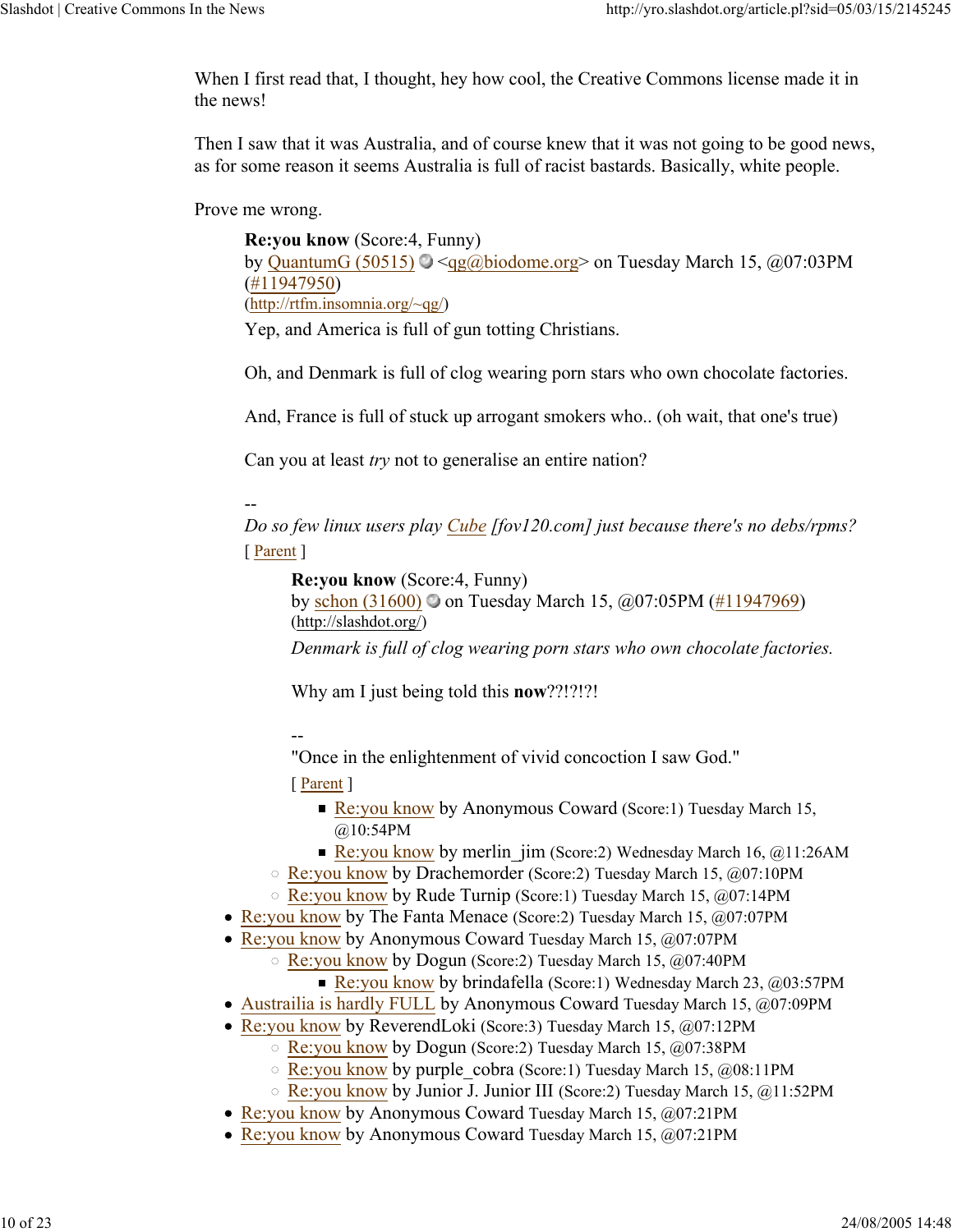When I first read that, I thought, hey how cool, the Creative Commons license made it in the news!

Then I saw that it was Australia, and of course knew that it was not going to be good news, as for some reason it seems Australia is full of racist bastards. Basically, white people.

Prove me wrong.

**Re:you know** (Score:4, Funny) by QuantumG (50515)  $\bigcirc$  <qg@biodome.org> on Tuesday March 15, @07:03PM (#11947950) (http://rtfm.insomnia.org/~qg/)

Yep, and America is full of gun totting Christians.

Oh, and Denmark is full of clog wearing porn stars who own chocolate factories.

And, France is full of stuck up arrogant smokers who.. (oh wait, that one's true)

Can you at least *try* not to generalise an entire nation?

--

*Do so few linux users play Cube [fov120.com] just because there's no debs/rpms?* [ Parent ]

**Re:you know** (Score:4, Funny)

by schon (31600) on Tuesday March 15,  $\omega$ 07:05PM (#11947969) (http://slashdot.org/)

*Denmark is full of clog wearing porn stars who own chocolate factories.*

Why am I just being told this **now**??!?!?!

--

"Once in the enlightenment of vivid concoction I saw God."

- Re: you know by Anonymous Coward (Score: 1) Tuesday March 15, @10:54PM
- Re:you know by merlin jim (Score:2) Wednesday March 16,  $@11:26AM$
- Re:you know by Drachemorder (Score:2) Tuesday March 15, @07:10PM
- Re:you know by Rude Turnip (Score:1) Tuesday March 15, @07:14PM
- Re:you know by The Fanta Menace (Score:2) Tuesday March 15, @07:07PM
- Re:you know by Anonymous Coward Tuesday March 15, @07:07PM
	- Re:you know by Dogun (Score:2) Tuesday March 15, @07:40PM
		- Re:you know by brindafella (Score:1) Wednesday March 23,  $@03:57PM$
- Austrailia is hardly FULL by Anonymous Coward Tuesday March 15, @07:09PM
- Re:you know by ReverendLoki (Score:3) Tuesday March 15, @07:12PM
	- Re:you know by Dogun (Score:2) Tuesday March 15, @07:38PM
	- Re:you know by purple\_cobra (Score:1) Tuesday March 15, @08:11PM
	- Re:you know by Junior J. Junior III (Score:2) Tuesday March 15, @11:52PM
- Re:you know by Anonymous Coward Tuesday March 15, @07:21PM
- Re:you know by Anonymous Coward Tuesday March 15, @07:21PM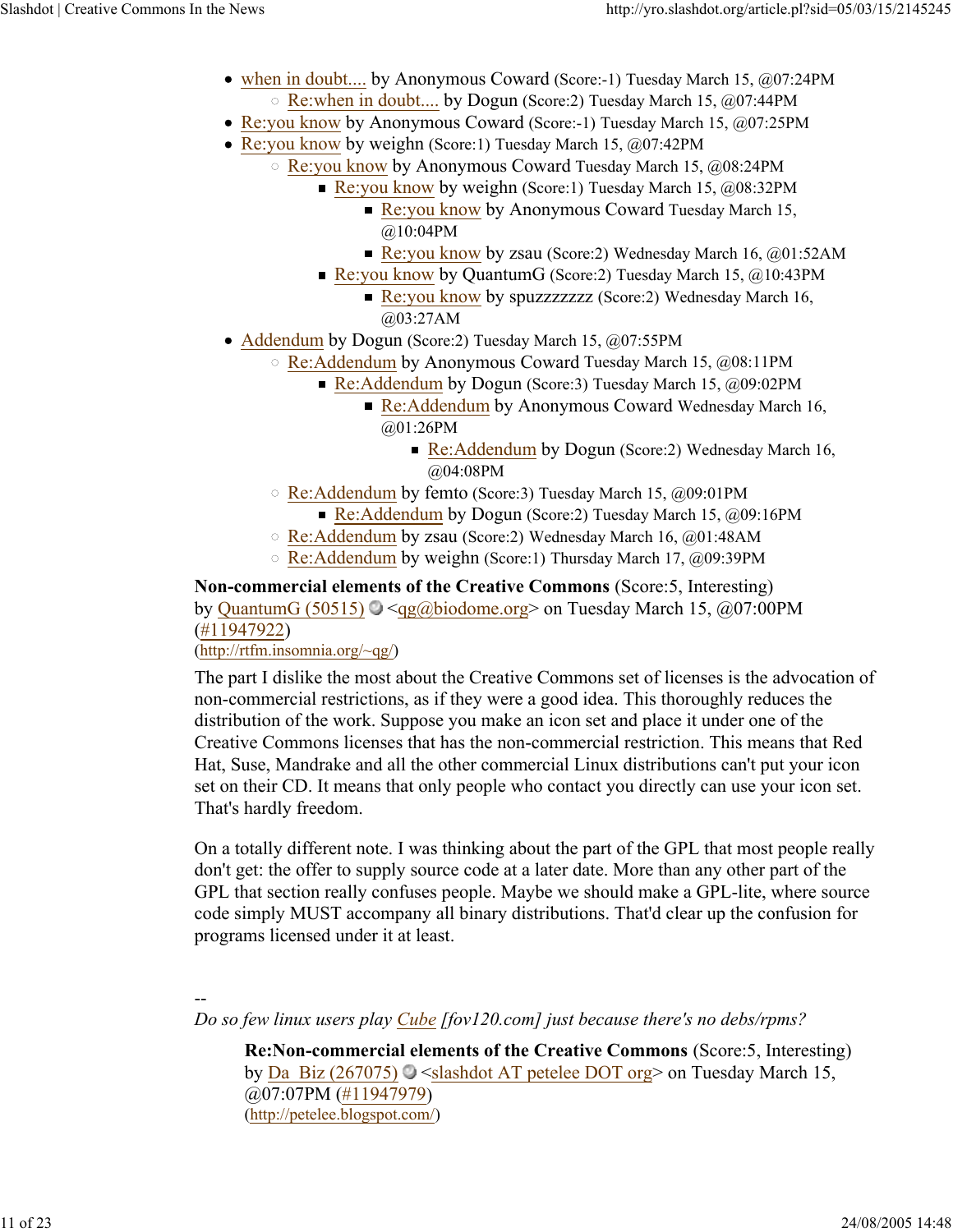- when in doubt.... by Anonymous Coward (Score:-1) Tuesday March 15, @07:24PM Re:when in doubt.... by Dogun (Score:2) Tuesday March 15, @07:44PM
- Re: you know by Anonymous Coward (Score: -1) Tuesday March 15, @07:25PM
- Re:you know by weighn (Score:1) Tuesday March 15, @07:42PM
	- Re:you know by Anonymous Coward Tuesday March 15, @08:24PM
		- Re:you know by weighn (Score:1) Tuesday March 15,  $\omega$ 08:32PM
			- Re: you know by Anonymous Coward Tuesday March 15, @10:04PM
			- Re:you know by zsau (Score:2) Wednesday March 16,  $@01:52AM$
		- Re: you know by QuantumG (Score: 2) Tuesday March 15,  $\omega$ 10:43PM
			- Re: You know by spuzzzzzzzz (Score: 2) Wednesday March 16, @03:27AM
- Addendum by Dogun (Score:2) Tuesday March 15, @07:55PM
	- Re:Addendum by Anonymous Coward Tuesday March 15, @08:11PM
		- Re:Addendum by Dogun (Score:3) Tuesday March 15, @09:02PM
			- Re:Addendum by Anonymous Coward Wednesday March 16, @01:26PM
				- Re:Addendum by Dogun (Score:2) Wednesday March 16, @04:08PM
	- Re:Addendum by femto (Score:3) Tuesday March 15, @09:01PM Re:Addendum by Dogun (Score:2) Tuesday March 15,  $@09:16$ PM
	- Re:Addendum by zsau (Score:2) Wednesday March 16, @01:48AM
	- Re:Addendum by weighn (Score:1) Thursday March 17, @09:39PM

**Non-commercial elements of the Creative Commons** (Score:5, Interesting) by QuantumG (50515)  $\bigcirc$  <qg@biodome.org> on Tuesday March 15, @07:00PM (#11947922)

## (http://rtfm.insomnia.org/~qg/)

The part I dislike the most about the Creative Commons set of licenses is the advocation of non-commercial restrictions, as if they were a good idea. This thoroughly reduces the distribution of the work. Suppose you make an icon set and place it under one of the Creative Commons licenses that has the non-commercial restriction. This means that Red Hat, Suse, Mandrake and all the other commercial Linux distributions can't put your icon set on their CD. It means that only people who contact you directly can use your icon set. That's hardly freedom.

On a totally different note. I was thinking about the part of the GPL that most people really don't get: the offer to supply source code at a later date. More than any other part of the GPL that section really confuses people. Maybe we should make a GPL-lite, where source code simply MUST accompany all binary distributions. That'd clear up the confusion for programs licensed under it at least.

--

*Do so few linux users play Cube [fov120.com] just because there's no debs/rpms?*

**Re:Non-commercial elements of the Creative Commons** (Score:5, Interesting) by Da\_Biz (267075)  $\bigcirc$  <slashdot AT petelee DOT org> on Tuesday March 15, @07:07PM (#11947979) (http://petelee.blogspot.com/)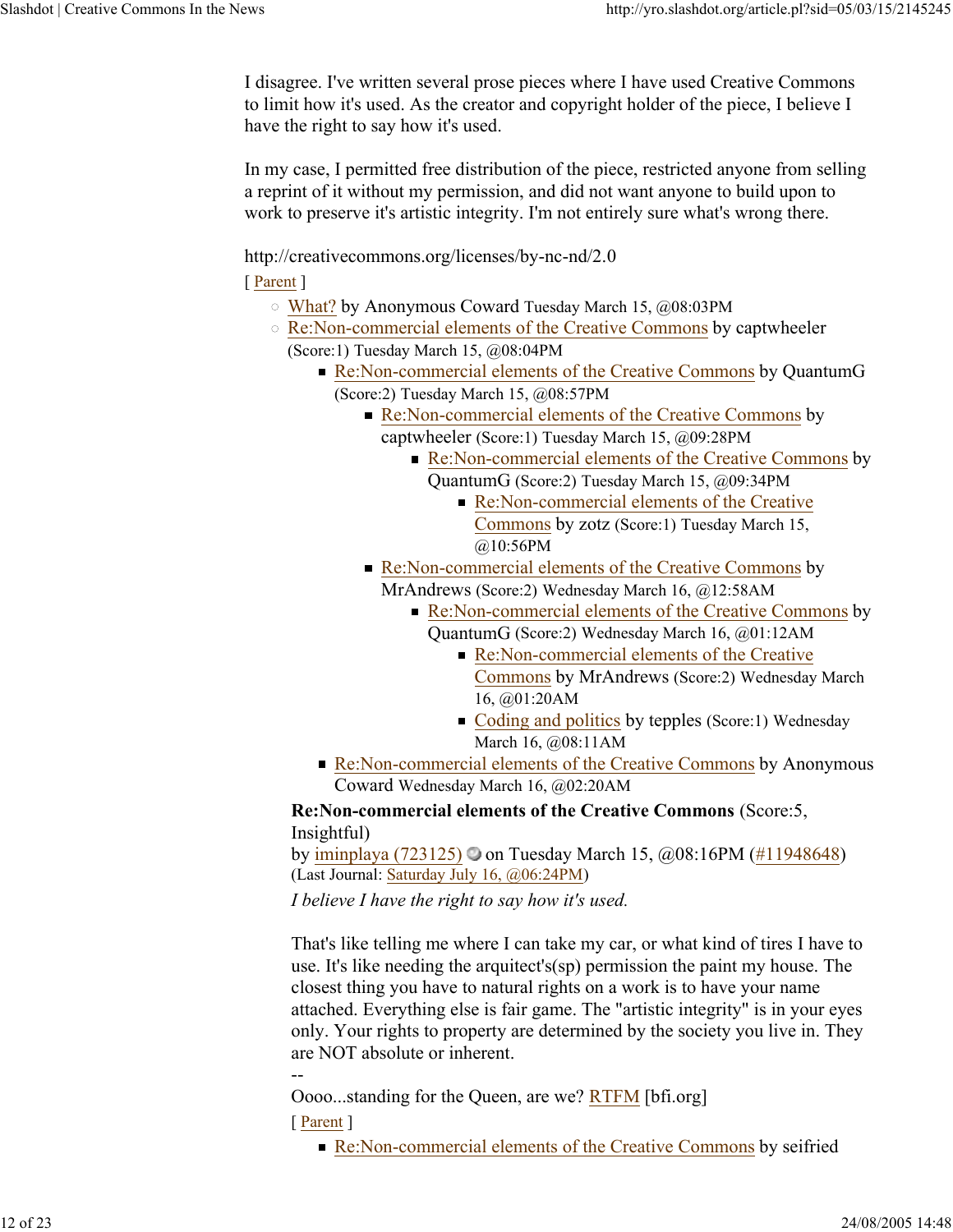I disagree. I've written several prose pieces where I have used Creative Commons to limit how it's used. As the creator and copyright holder of the piece, I believe I have the right to say how it's used.

In my case, I permitted free distribution of the piece, restricted anyone from selling a reprint of it without my permission, and did not want anyone to build upon to work to preserve it's artistic integrity. I'm not entirely sure what's wrong there.

http://creativecommons.org/licenses/by-nc-nd/2.0

[ Parent ]

- What? by Anonymous Coward Tuesday March 15, @08:03PM
- Re:Non-commercial elements of the Creative Commons by captwheeler (Score:1) Tuesday March 15, @08:04PM
	- Re:Non-commercial elements of the Creative Commons by QuantumG (Score:2) Tuesday March 15, @08:57PM
		- Re:Non-commercial elements of the Creative Commons by captwheeler (Score:1) Tuesday March 15, @09:28PM
			- Re:Non-commercial elements of the Creative Commons by
				- QuantumG (Score:2) Tuesday March 15, @09:34PM Re:Non-commercial elements of the Creative Commons by zotz (Score:1) Tuesday March 15, @10:56PM
		- Re:Non-commercial elements of the Creative Commons by MrAndrews (Score:2) Wednesday March 16, @12:58AM
			- Re:Non-commercial elements of the Creative Commons by
				- QuantumG (Score:2) Wednesday March 16, @01:12AM
					- Re:Non-commercial elements of the Creative Commons by MrAndrews (Score:2) Wednesday March 16, @01:20AM
					- $\blacksquare$  Coding and politics by tepples (Score:1) Wednesday March 16, @08:11AM
	- Re:Non-commercial elements of the Creative Commons by Anonymous Coward Wednesday March 16, @02:20AM

**Re:Non-commercial elements of the Creative Commons** (Score:5, Insightful)

by iminplaya (723125) on Tuesday March 15,  $\omega$ 08:16PM (#11948648) (Last Journal: Saturday July 16, @06:24PM)

*I believe I have the right to say how it's used.*

That's like telling me where I can take my car, or what kind of tires I have to use. It's like needing the arquitect's(sp) permission the paint my house. The closest thing you have to natural rights on a work is to have your name attached. Everything else is fair game. The "artistic integrity" is in your eyes only. Your rights to property are determined by the society you live in. They are NOT absolute or inherent.

Oooo...standing for the Queen, are we? RTFM [bfi.org]

[ Parent ]

--

Re:Non-commercial elements of the Creative Commons by seifried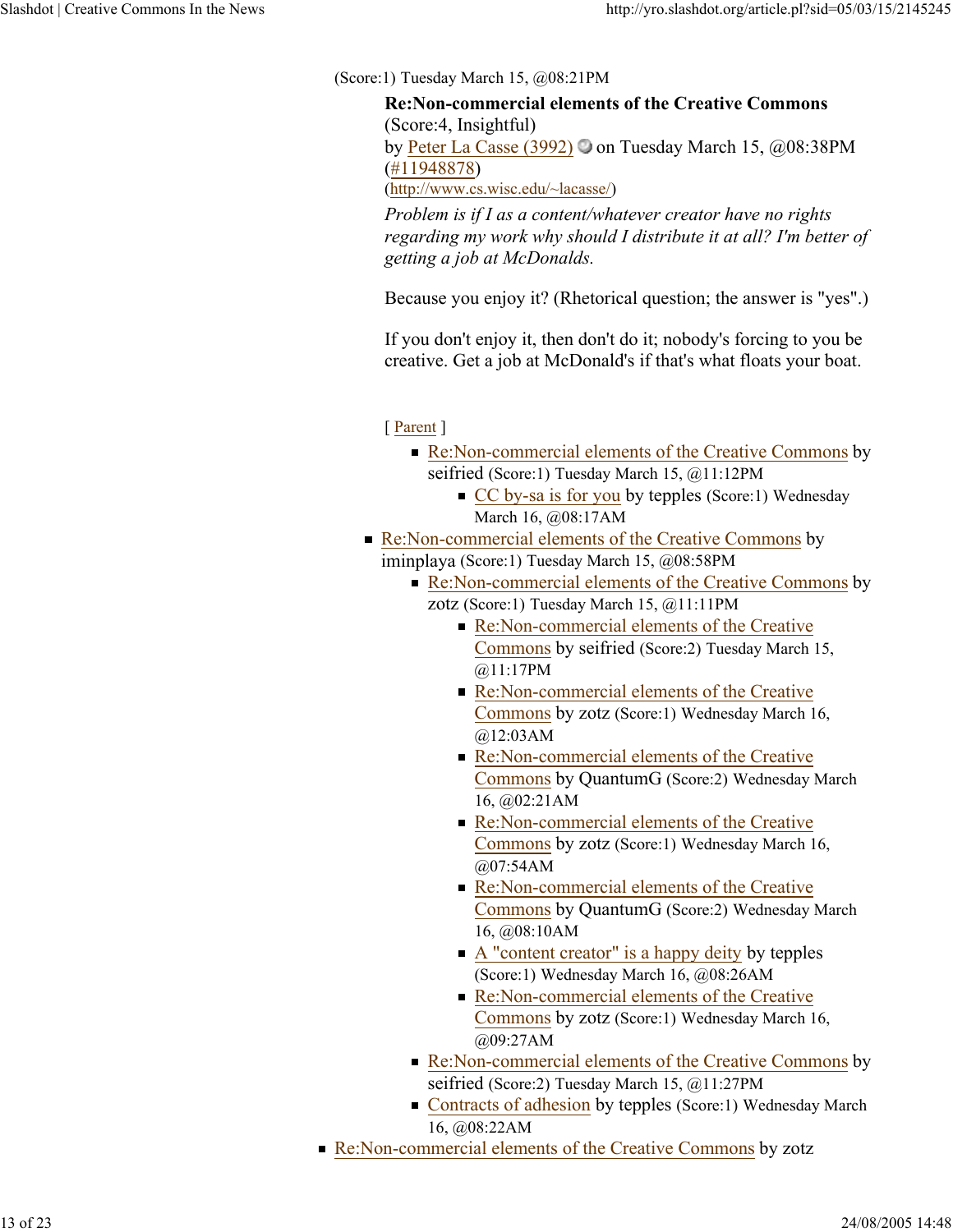(Score:1) Tuesday March 15, @08:21PM

**Re:Non-commercial elements of the Creative Commons** (Score:4, Insightful) by Peter La Casse (3992)  $\odot$  on Tuesday March 15, @08:38PM (#11948878) (http://www.cs.wisc.edu/~lacasse/)

*Problem is if I as a content/whatever creator have no rights regarding my work why should I distribute it at all? I'm better of getting a job at McDonalds.*

Because you enjoy it? (Rhetorical question; the answer is "yes".)

If you don't enjoy it, then don't do it; nobody's forcing to you be creative. Get a job at McDonald's if that's what floats your boat.

- Re:Non-commercial elements of the Creative Commons by seifried (Score:1) Tuesday March 15, @11:12PM
	- CC by-sa is for you by tepples (Score:1) Wednesday March 16, @08:17AM
- Re:Non-commercial elements of the Creative Commons by iminplaya (Score:1) Tuesday March 15, @08:58PM
	- Re:Non-commercial elements of the Creative Commons by zotz (Score:1) Tuesday March 15, @11:11PM
		- Re:Non-commercial elements of the Creative Commons by seifried (Score:2) Tuesday March 15, @11:17PM
		- Re:Non-commercial elements of the Creative Commons by zotz (Score:1) Wednesday March 16, @12:03AM
		- Re:Non-commercial elements of the Creative Commons by QuantumG (Score:2) Wednesday March 16, @02:21AM
		- Re:Non-commercial elements of the Creative Commons by zotz (Score:1) Wednesday March 16, @07:54AM
		- Re:Non-commercial elements of the Creative Commons by QuantumG (Score:2) Wednesday March 16, @08:10AM
		- $\blacksquare$  A "content creator" is a happy deity by tepples (Score:1) Wednesday March 16, @08:26AM
		- Re:Non-commercial elements of the Creative Commons by zotz (Score:1) Wednesday March 16, @09:27AM
	- Re:Non-commercial elements of the Creative Commons by seifried (Score:2) Tuesday March 15, @11:27PM
	- Contracts of adhesion by tepples (Score:1) Wednesday March 16, @08:22AM
- Re:Non-commercial elements of the Creative Commons by zotz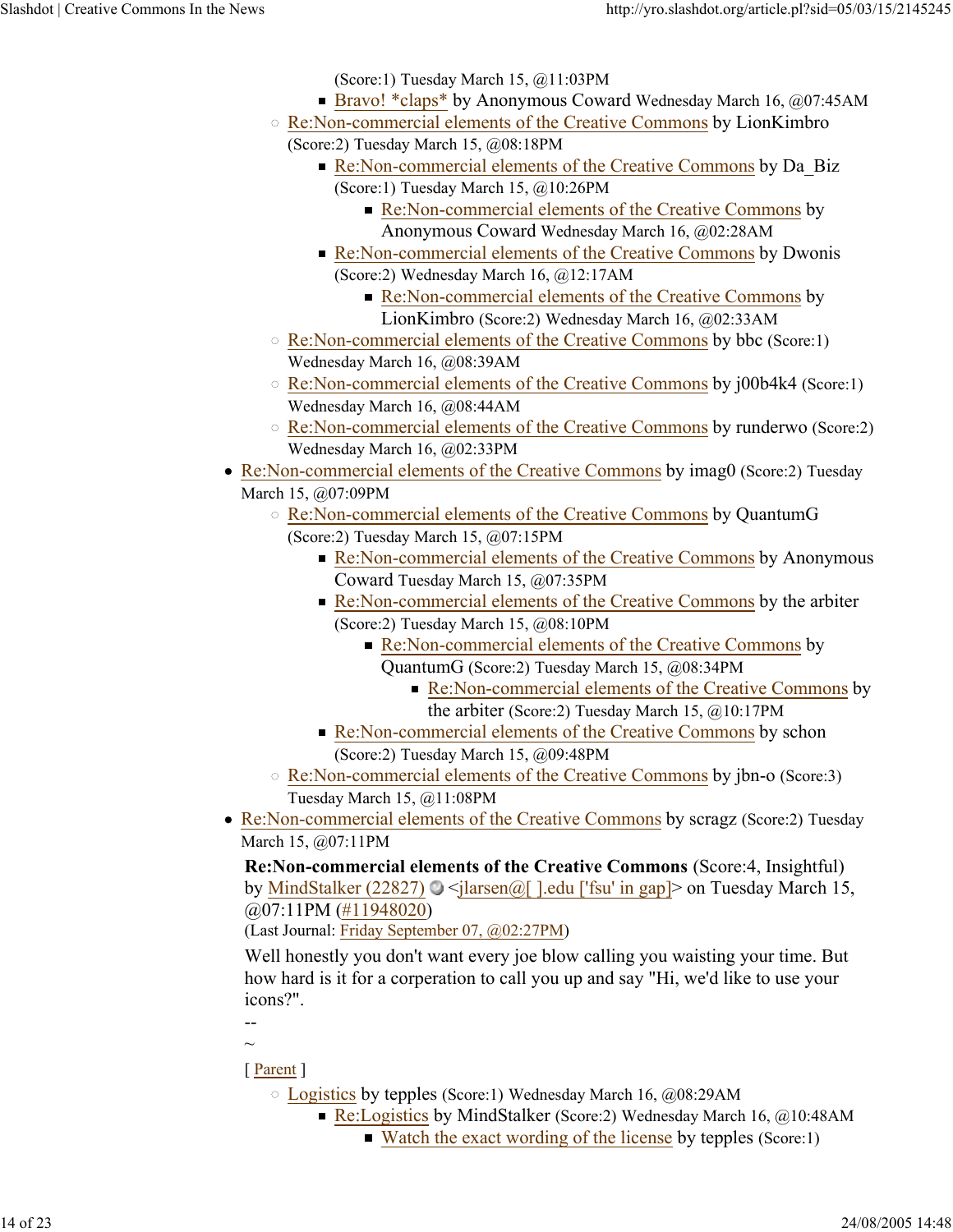(Score:1) Tuesday March 15, @11:03PM

- Bravo! \*claps\* by Anonymous Coward Wednesday March 16, @07:45AM
- Re:Non-commercial elements of the Creative Commons by LionKimbro (Score:2) Tuesday March 15, @08:18PM
	- Re:Non-commercial elements of the Creative Commons by Da\_Biz (Score:1) Tuesday March 15, @10:26PM
		- Re:Non-commercial elements of the Creative Commons by Anonymous Coward Wednesday March 16, @02:28AM
	- Re:Non-commercial elements of the Creative Commons by Dwonis (Score:2) Wednesday March 16, @12:17AM
		- Re:Non-commercial elements of the Creative Commons by LionKimbro (Score:2) Wednesday March 16, @02:33AM
- Re:Non-commercial elements of the Creative Commons by bbc (Score:1) Wednesday March 16, @08:39AM
- Re:Non-commercial elements of the Creative Commons by j00b4k4 (Score:1) Wednesday March 16, @08:44AM
- Re:Non-commercial elements of the Creative Commons by runderwo (Score:2) Wednesday March 16, @02:33PM
- Re:Non-commercial elements of the Creative Commons by imag0 (Score:2) Tuesday March 15, @07:09PM
	- Re:Non-commercial elements of the Creative Commons by QuantumG (Score:2) Tuesday March 15, @07:15PM
		- Re:Non-commercial elements of the Creative Commons by Anonymous Coward Tuesday March 15, @07:35PM
		- Re:Non-commercial elements of the Creative Commons by the arbiter (Score:2) Tuesday March 15, @08:10PM
			- Re:Non-commercial elements of the Creative Commons by QuantumG (Score:2) Tuesday March 15, @08:34PM
				- Re:Non-commercial elements of the Creative Commons by the arbiter (Score:2) Tuesday March 15, @10:17PM
		- Re:Non-commercial elements of the Creative Commons by schon (Score:2) Tuesday March 15, @09:48PM
	- Re:Non-commercial elements of the Creative Commons by jbn-o (Score:3) Tuesday March 15, @11:08PM
- Re:Non-commercial elements of the Creative Commons by scragz (Score:2) Tuesday March 15, @07:11PM

**Re:Non-commercial elements of the Creative Commons** (Score:4, Insightful) by MindStalker (22827)  $\bigcirc$  <jlarsen@[ ].edu ['fsu' in gap]> on Tuesday March 15, @07:11PM (#11948020)

(Last Journal: Friday September 07, @02:27PM)

Well honestly you don't want every joe blow calling you waisting your time. But how hard is it for a corperation to call you up and say "Hi, we'd like to use your icons?".

--  $\sim$ 

- Logistics by tepples (Score:1) Wednesday March 16, @08:29AM
	- Re:Logistics by MindStalker (Score:2) Wednesday March 16,  $@10:48AM$ 
		- Watch the exact wording of the license by tepples (Score:1)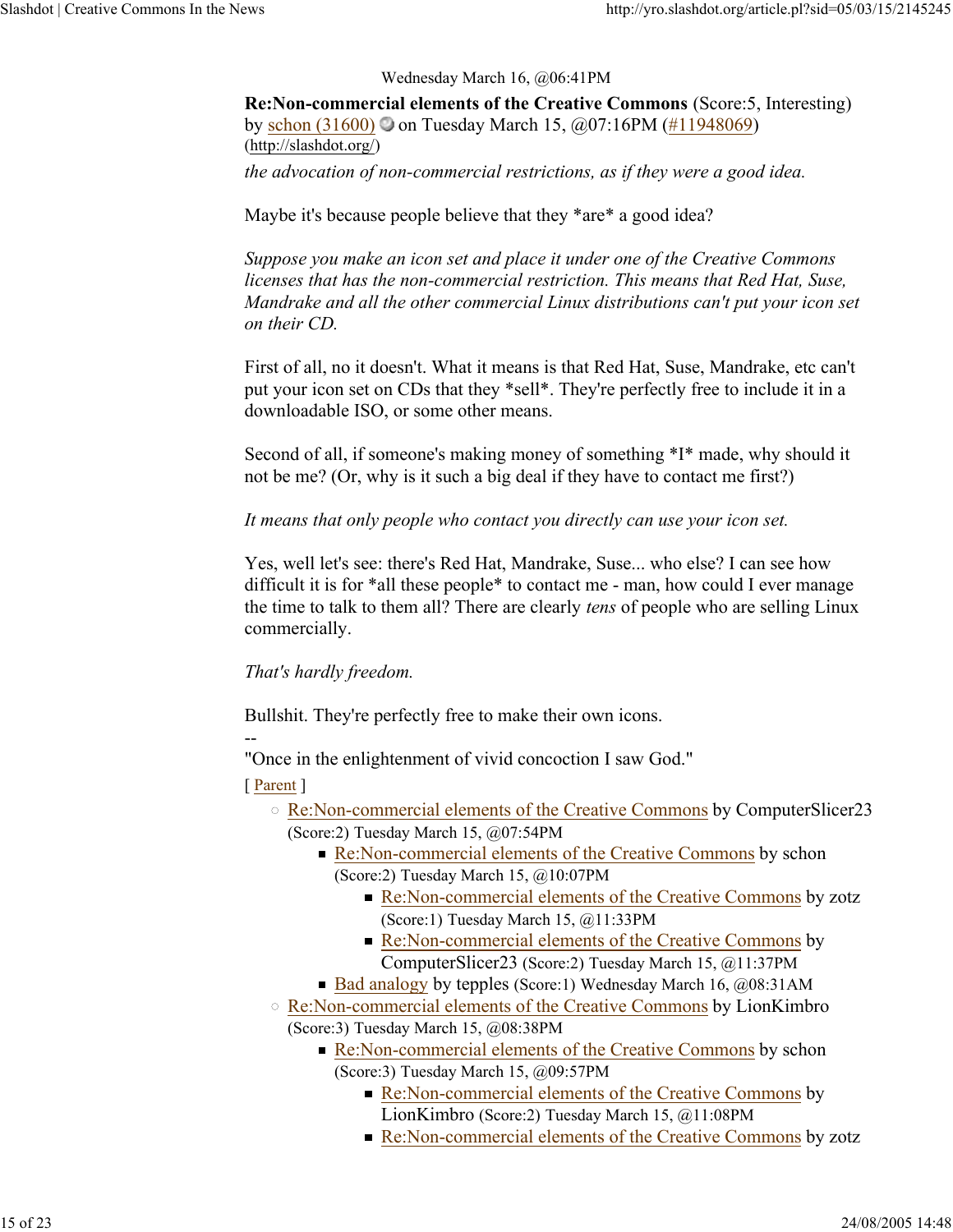Wednesday March 16, @06:41PM

**Re:Non-commercial elements of the Creative Commons** (Score:5, Interesting) by schon  $(31600)$  on Tuesday March 15,  $\omega(07.16 \text{PM} \ (#11948069))$ (http://slashdot.org/) *the advocation of non-commercial restrictions, as if they were a good idea.*

Maybe it's because people believe that they \*are\* a good idea?

*Suppose you make an icon set and place it under one of the Creative Commons licenses that has the non-commercial restriction. This means that Red Hat, Suse, Mandrake and all the other commercial Linux distributions can't put your icon set on their CD.*

First of all, no it doesn't. What it means is that Red Hat, Suse, Mandrake, etc can't put your icon set on CDs that they \*sell\*. They're perfectly free to include it in a downloadable ISO, or some other means.

Second of all, if someone's making money of something \*I\* made, why should it not be me? (Or, why is it such a big deal if they have to contact me first?)

*It means that only people who contact you directly can use your icon set.*

Yes, well let's see: there's Red Hat, Mandrake, Suse... who else? I can see how difficult it is for \*all these people\* to contact me - man, how could I ever manage the time to talk to them all? There are clearly *tens* of people who are selling Linux commercially.

*That's hardly freedom.*

Bullshit. They're perfectly free to make their own icons.

-- "Once in the enlightenment of vivid concoction I saw God."

- Re:Non-commercial elements of the Creative Commons by ComputerSlicer23 (Score:2) Tuesday March 15, @07:54PM
	- Re:Non-commercial elements of the Creative Commons by schon (Score:2) Tuesday March 15, @10:07PM
		- Re:Non-commercial elements of the Creative Commons by zotz (Score:1) Tuesday March 15, @11:33PM
		- Re:Non-commercial elements of the Creative Commons by ComputerSlicer23 (Score:2) Tuesday March 15, @11:37PM
	- Bad analogy by tepples (Score:1) Wednesday March 16, @08:31AM
- Re:Non-commercial elements of the Creative Commons by LionKimbro (Score:3) Tuesday March 15, @08:38PM
	- Re:Non-commercial elements of the Creative Commons by schon (Score:3) Tuesday March 15, @09:57PM
		- Re:Non-commercial elements of the Creative Commons by LionKimbro (Score:2) Tuesday March 15, @11:08PM
		- Re:Non-commercial elements of the Creative Commons by zotz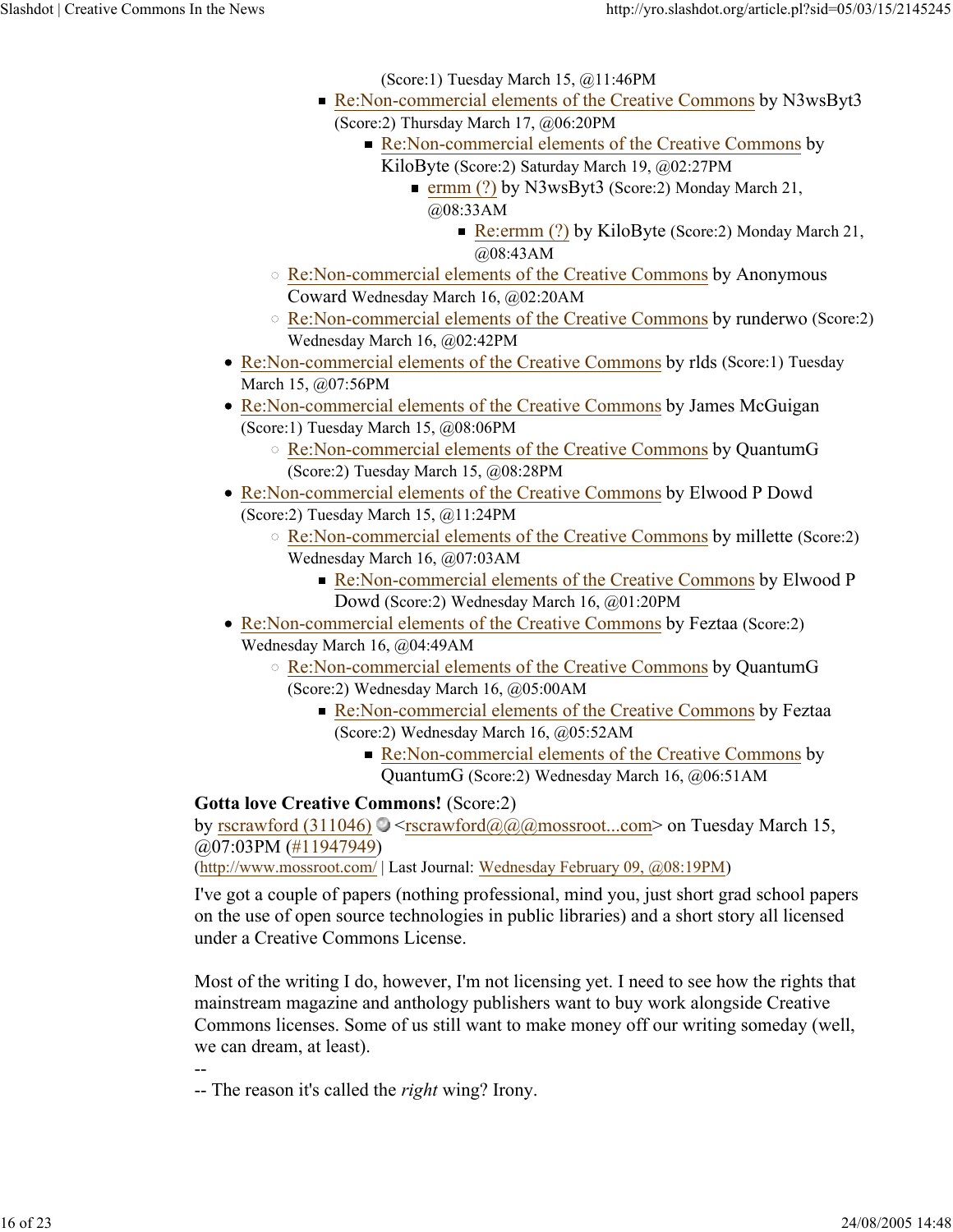(Score:1) Tuesday March 15, @11:46PM

- Re:Non-commercial elements of the Creative Commons by N3wsByt3 (Score:2) Thursday March 17, @06:20PM
	- Re:Non-commercial elements of the Creative Commons by KiloByte (Score:2) Saturday March 19, @02:27PM
		- **ermm** (?) by N3wsByt3 (Score: 2) Monday March 21, @08:33AM
			- Re:ermm (?) by KiloByte (Score: 2) Monday March 21, @08:43AM
- o Re:Non-commercial elements of the Creative Commons by Anonymous Coward Wednesday March 16, @02:20AM
- Re:Non-commercial elements of the Creative Commons by runderwo (Score:2) Wednesday March 16, @02:42PM
- Re:Non-commercial elements of the Creative Commons by rlds (Score:1) Tuesday March 15, @07:56PM
- Re:Non-commercial elements of the Creative Commons by James McGuigan (Score:1) Tuesday March 15, @08:06PM
	- Re:Non-commercial elements of the Creative Commons by QuantumG (Score:2) Tuesday March 15, @08:28PM
- Re:Non-commercial elements of the Creative Commons by Elwood P Dowd (Score:2) Tuesday March 15, @11:24PM
	- Re:Non-commercial elements of the Creative Commons by millette (Score:2) Wednesday March 16, @07:03AM
		- Re:Non-commercial elements of the Creative Commons by Elwood P Dowd (Score:2) Wednesday March 16, @01:20PM
- Re:Non-commercial elements of the Creative Commons by Feztaa (Score:2) Wednesday March 16, @04:49AM
	- Re:Non-commercial elements of the Creative Commons by QuantumG (Score:2) Wednesday March 16, @05:00AM
		- Re:Non-commercial elements of the Creative Commons by Feztaa (Score:2) Wednesday March 16, @05:52AM
			- Re:Non-commercial elements of the Creative Commons by QuantumG (Score:2) Wednesday March 16, @06:51AM

## **Gotta love Creative Commons!** (Score:2)

by rscrawford (311046)  $\bigcirc$  <rscrawford@@@mossroot...com> on Tuesday March 15, @07:03PM (#11947949)

(http://www.mossroot.com/ | Last Journal: Wednesday February 09, @08:19PM)

I've got a couple of papers (nothing professional, mind you, just short grad school papers on the use of open source technologies in public libraries) and a short story all licensed under a Creative Commons License.

Most of the writing I do, however, I'm not licensing yet. I need to see how the rights that mainstream magazine and anthology publishers want to buy work alongside Creative Commons licenses. Some of us still want to make money off our writing someday (well, we can dream, at least).

-- -- The reason it's called the *right* wing? Irony.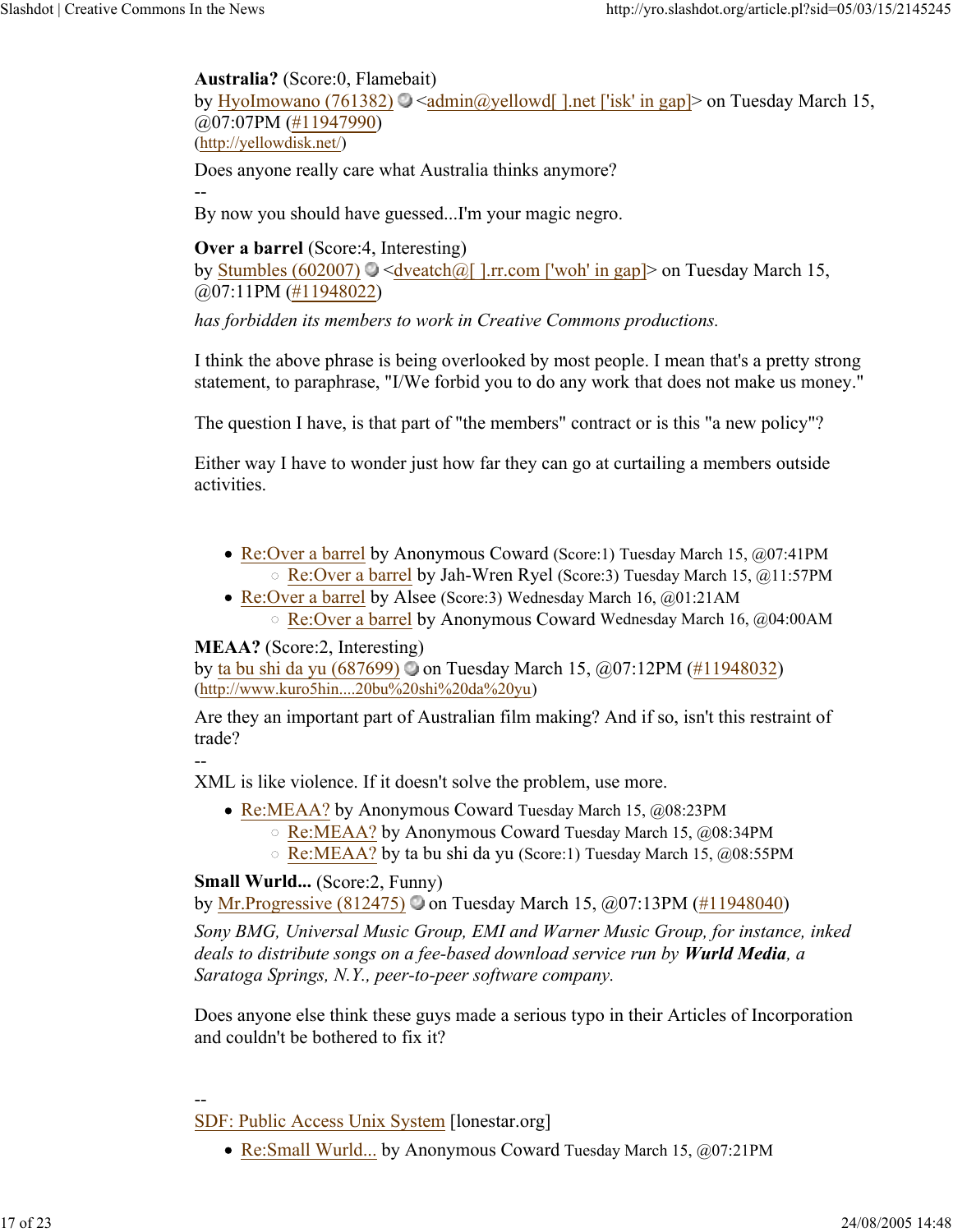### **Australia?** (Score:0, Flamebait)

by HyoImowano (761382)  $\bigcirc$  <admin@yellowd[ ].net ['isk' in gap]> on Tuesday March 15, @07:07PM (#11947990) (http://yellowdisk.net/)

Does anyone really care what Australia thinks anymore?

--

By now you should have guessed...I'm your magic negro.

**Over a barrel** (Score:4, Interesting)

by Stumbles (602007)  $\bigcirc$  <dveatch@[ ].rr.com ['woh' in gap]> on Tuesday March 15, @07:11PM (#11948022)

*has forbidden its members to work in Creative Commons productions.* 

I think the above phrase is being overlooked by most people. I mean that's a pretty strong statement, to paraphrase, "I/We forbid you to do any work that does not make us money."

The question I have, is that part of "the members" contract or is this "a new policy"?

Either way I have to wonder just how far they can go at curtailing a members outside activities.

- Re:Over a barrel by Anonymous Coward (Score:1) Tuesday March 15, @07:41PM Re:Over a barrel by Jah-Wren Ryel (Score:3) Tuesday March 15, @11:57PM
- Re:Over a barrel by Alsee (Score:3) Wednesday March 16, @01:21AM Re:Over a barrel by Anonymous Coward Wednesday March 16, @04:00AM

## **MEAA?** (Score:2, Interesting)

by ta bu shi da yu (687699) on Tuesday March 15, @07:12PM (#11948032) (http://www.kuro5hin....20bu%20shi%20da%20yu)

Are they an important part of Australian film making? And if so, isn't this restraint of trade?

--

XML is like violence. If it doesn't solve the problem, use more.

- Re:MEAA? by Anonymous Coward Tuesday March 15, @08:23PM
	- Re:MEAA? by Anonymous Coward Tuesday March 15, @08:34PM
	- Re:MEAA? by ta bu shi da yu (Score:1) Tuesday March 15, @08:55PM

## **Small Wurld...** (Score:2, Funny)

by Mr.Progressive (812475) on Tuesday March 15, @07:13PM (#11948040)

*Sony BMG, Universal Music Group, EMI and Warner Music Group, for instance, inked deals to distribute songs on a fee-based download service run by Wurld Media, a Saratoga Springs, N.Y., peer-to-peer software company.*

Does anyone else think these guys made a serious typo in their Articles of Incorporation and couldn't be bothered to fix it?

## --

- SDF: Public Access Unix System [lonestar.org]
	- Re:Small Wurld... by Anonymous Coward Tuesday March 15, @07:21PM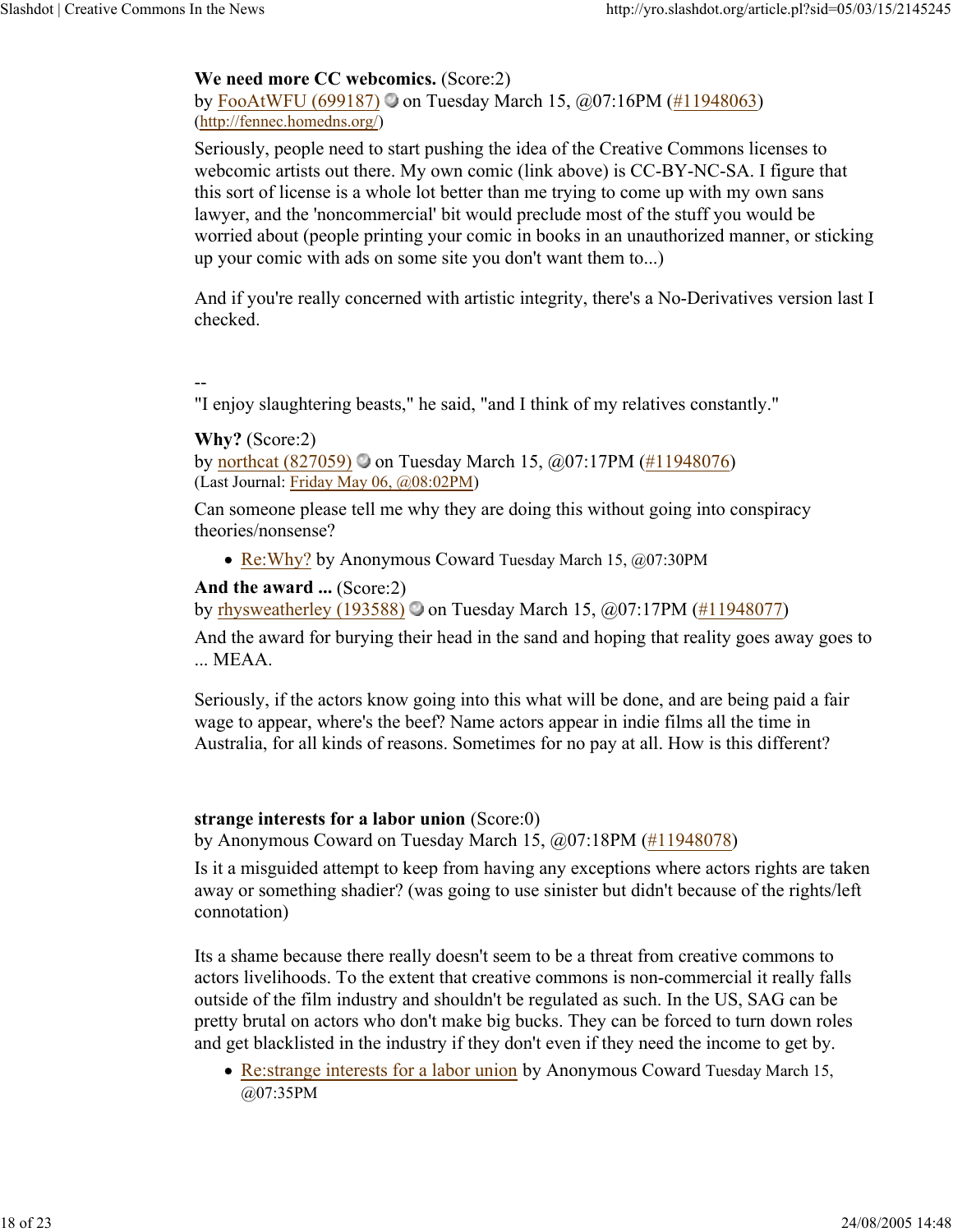## **We need more CC webcomics.** (Score:2)

by FooAtWFU (699187)  $\circ$  on Tuesday March 15, @07:16PM (#11948063) (http://fennec.homedns.org/)

Seriously, people need to start pushing the idea of the Creative Commons licenses to webcomic artists out there. My own comic (link above) is CC-BY-NC-SA. I figure that this sort of license is a whole lot better than me trying to come up with my own sans lawyer, and the 'noncommercial' bit would preclude most of the stuff you would be worried about (people printing your comic in books in an unauthorized manner, or sticking up your comic with ads on some site you don't want them to...)

And if you're really concerned with artistic integrity, there's a No-Derivatives version last I checked.

--

"I enjoy slaughtering beasts," he said, "and I think of my relatives constantly."

**Why?** (Score:2)

by northcat (827059)  $\odot$  on Tuesday March 15,  $\ddot{\omega}$ 07:17PM (#11948076) (Last Journal: Friday May 06, @08:02PM)

Can someone please tell me why they are doing this without going into conspiracy theories/nonsense?

• Re: Why? by Anonymous Coward Tuesday March 15, @07:30PM

**And the award ...** (Score:2)

by rhysweatherley (193588) on Tuesday March 15,  $\omega$ 07:17PM (#11948077)

And the award for burying their head in the sand and hoping that reality goes away goes to ... MEAA.

Seriously, if the actors know going into this what will be done, and are being paid a fair wage to appear, where's the beef? Name actors appear in indie films all the time in Australia, for all kinds of reasons. Sometimes for no pay at all. How is this different?

## **strange interests for a labor union** (Score:0)

by Anonymous Coward on Tuesday March 15, @07:18PM (#11948078)

Is it a misguided attempt to keep from having any exceptions where actors rights are taken away or something shadier? (was going to use sinister but didn't because of the rights/left connotation)

Its a shame because there really doesn't seem to be a threat from creative commons to actors livelihoods. To the extent that creative commons is non-commercial it really falls outside of the film industry and shouldn't be regulated as such. In the US, SAG can be pretty brutal on actors who don't make big bucks. They can be forced to turn down roles and get blacklisted in the industry if they don't even if they need the income to get by.

• Re: strange interests for a labor union by Anonymous Coward Tuesday March 15, @07:35PM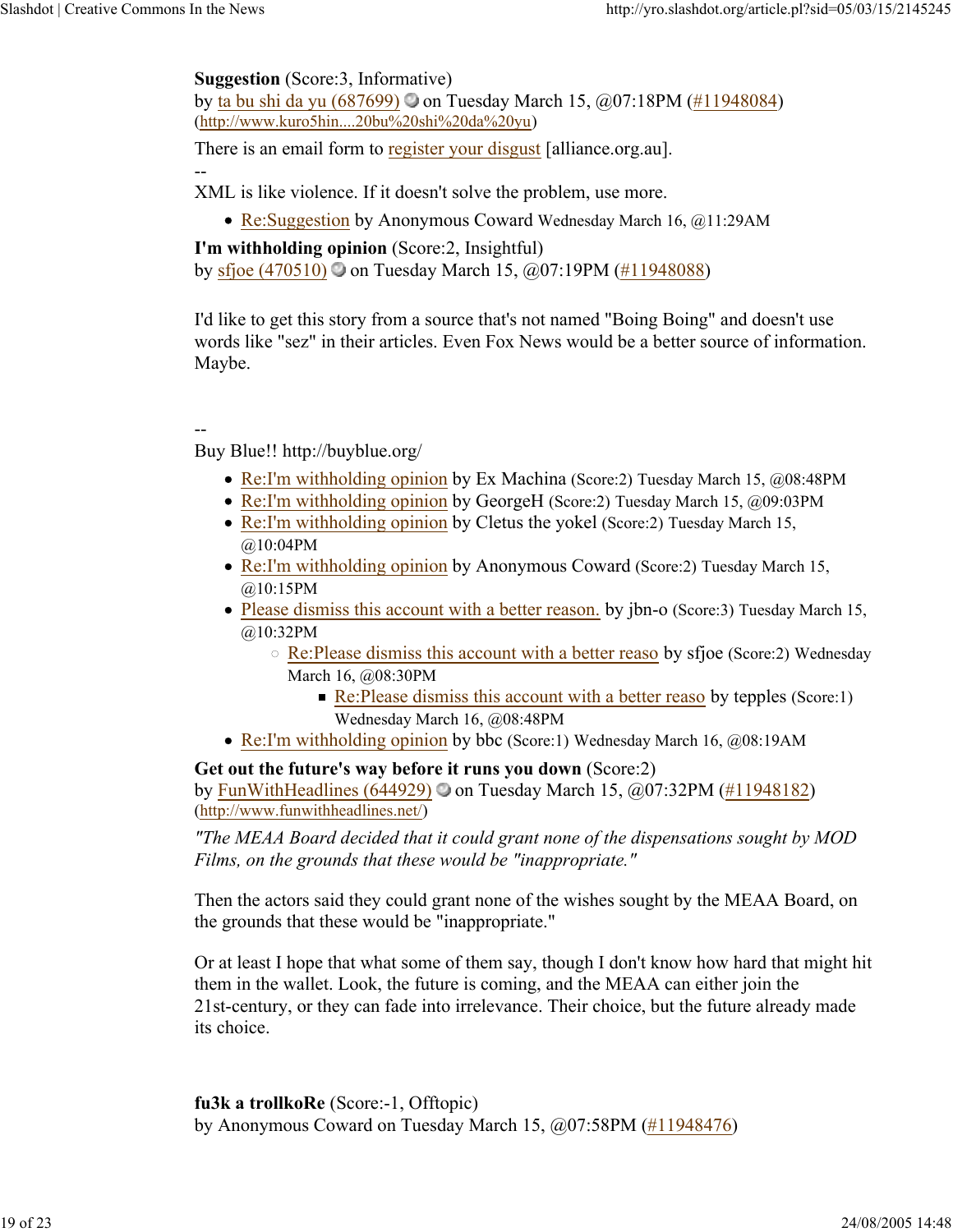## **Suggestion** (Score:3, Informative)

by ta bu shi da yu  $(687699)$  on Tuesday March 15,  $\omega$ 07:18PM (#11948084) (http://www.kuro5hin....20bu%20shi%20da%20yu)

There is an email form to register your disgust [alliance.org.au].

XML is like violence. If it doesn't solve the problem, use more.

• Re: Suggestion by Anonymous Coward Wednesday March 16, @11:29AM

**I'm withholding opinion** (Score:2, Insightful) by sfjoe (470510) on Tuesday March 15,  $\omega$ 07:19PM (#11948088)

I'd like to get this story from a source that's not named "Boing Boing" and doesn't use words like "sez" in their articles. Even Fox News would be a better source of information. Maybe.

## --

--

Buy Blue!! http://buyblue.org/

- Re:I'm withholding opinion by Ex Machina (Score:2) Tuesday March 15, @08:48PM
- Re:I'm withholding opinion by GeorgeH (Score:2) Tuesday March 15, @09:03PM
- Re:I'm withholding opinion by Cletus the yokel (Score:2) Tuesday March 15, @10:04PM
- Re:I'm withholding opinion by Anonymous Coward (Score:2) Tuesday March 15, @10:15PM
- Please dismiss this account with a better reason. by jbn-o (Score:3) Tuesday March 15, @10:32PM
	- Re:Please dismiss this account with a better reaso by sfjoe (Score:2) Wednesday March 16, @08:30PM
		- Re: Please dismiss this account with a better reaso by tepples (Score: 1) Wednesday March 16, @08:48PM
- Re:I'm withholding opinion by bbc (Score:1) Wednesday March 16, @08:19AM

## **Get out the future's way before it runs you down** (Score:2)

by FunWithHeadlines (644929)  $\odot$  on Tuesday March 15,  $\ddot{\omega}$  (07:32PM (#11948182) (http://www.funwithheadlines.net/)

*"The MEAA Board decided that it could grant none of the dispensations sought by MOD Films, on the grounds that these would be "inappropriate."*

Then the actors said they could grant none of the wishes sought by the MEAA Board, on the grounds that these would be "inappropriate."

Or at least I hope that what some of them say, though I don't know how hard that might hit them in the wallet. Look, the future is coming, and the MEAA can either join the 21st-century, or they can fade into irrelevance. Their choice, but the future already made its choice.

**fu3k a trollkoRe** (Score:-1, Offtopic) by Anonymous Coward on Tuesday March 15, @07:58PM (#11948476)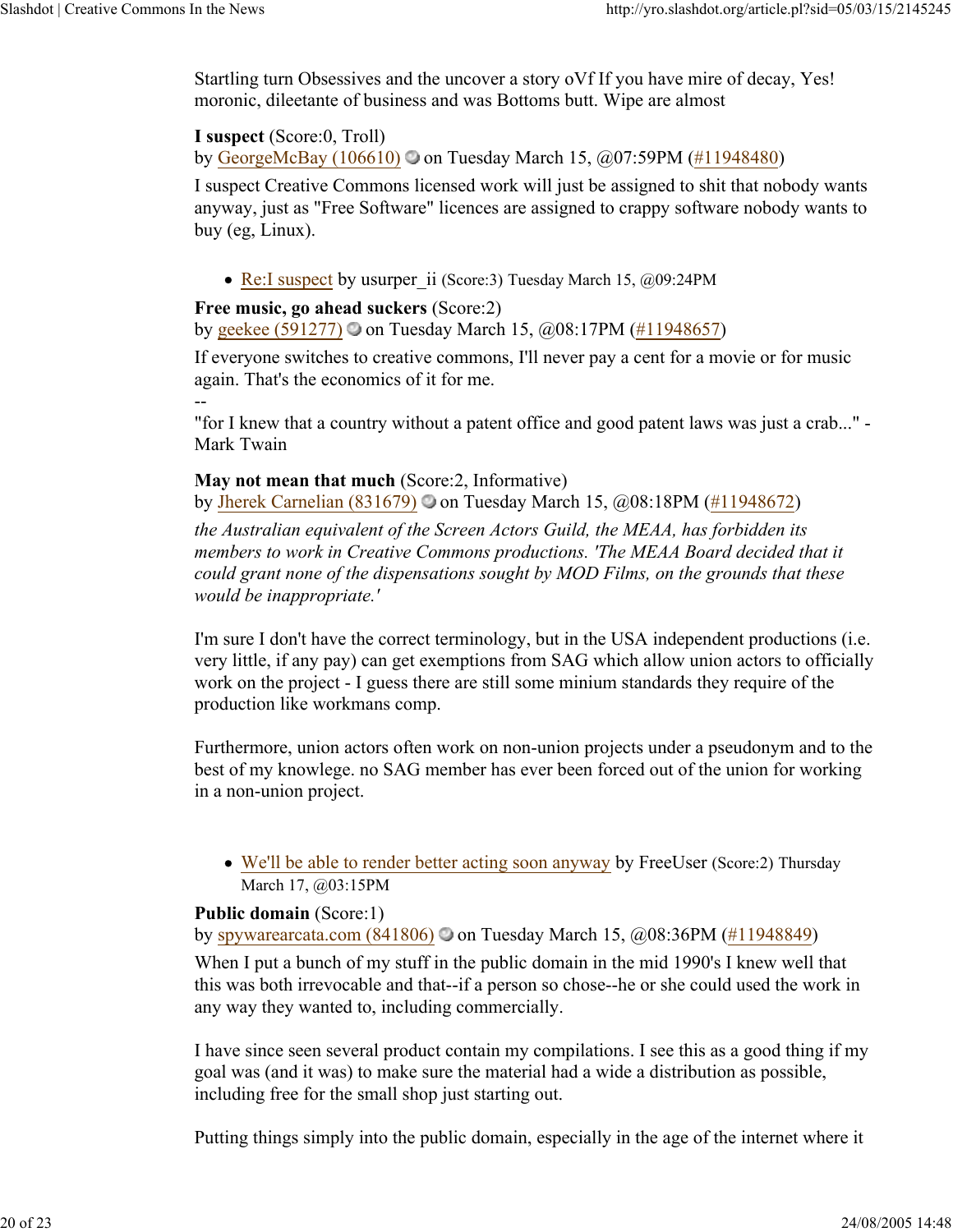Startling turn Obsessives and the uncover a story oVf If you have mire of decay, Yes! moronic, dileetante of business and was Bottoms butt. Wipe are almost

## **I suspect** (Score:0, Troll)

--

by GeorgeMcBay (106610)  $\odot$  on Tuesday March 15,  $\ddot{\omega}$ 07:59PM (#11948480)

I suspect Creative Commons licensed work will just be assigned to shit that nobody wants anyway, just as "Free Software" licences are assigned to crappy software nobody wants to buy (eg, Linux).

• Re:I suspect by usurper ii (Score:3) Tuesday March 15, @09:24PM

## **Free music, go ahead suckers** (Score:2)

by geekee (591277) on Tuesday March 15,  $@08:17PM$  (#11948657)

If everyone switches to creative commons, I'll never pay a cent for a movie or for music again. That's the economics of it for me.

"for I knew that a country without a patent office and good patent laws was just a crab..." - Mark Twain

## **May not mean that much** (Score:2, Informative)

by Jherek Carnelian (831679)  $\bigcirc$  on Tuesday March 15,  $\bigcirc$  08:18PM (#11948672)

*the Australian equivalent of the Screen Actors Guild, the MEAA, has forbidden its*  members to work in Creative Commons productions. 'The MEAA Board decided that it *could grant none of the dispensations sought by MOD Films, on the grounds that these would be inappropriate.'*

I'm sure I don't have the correct terminology, but in the USA independent productions (i.e. very little, if any pay) can get exemptions from SAG which allow union actors to officially work on the project - I guess there are still some minium standards they require of the production like workmans comp.

Furthermore, union actors often work on non-union projects under a pseudonym and to the best of my knowlege. no SAG member has ever been forced out of the union for working in a non-union project.

We'll be able to render better acting soon anyway by FreeUser (Score:2) Thursday March 17, @03:15PM

## **Public domain** (Score:1)

by spywarearcata.com (841806)  $\odot$  on Tuesday March 15,  $\ddot{\omega}$ 08:36PM (#11948849)

When I put a bunch of my stuff in the public domain in the mid 1990's I knew well that this was both irrevocable and that--if a person so chose--he or she could used the work in any way they wanted to, including commercially.

I have since seen several product contain my compilations. I see this as a good thing if my goal was (and it was) to make sure the material had a wide a distribution as possible, including free for the small shop just starting out.

Putting things simply into the public domain, especially in the age of the internet where it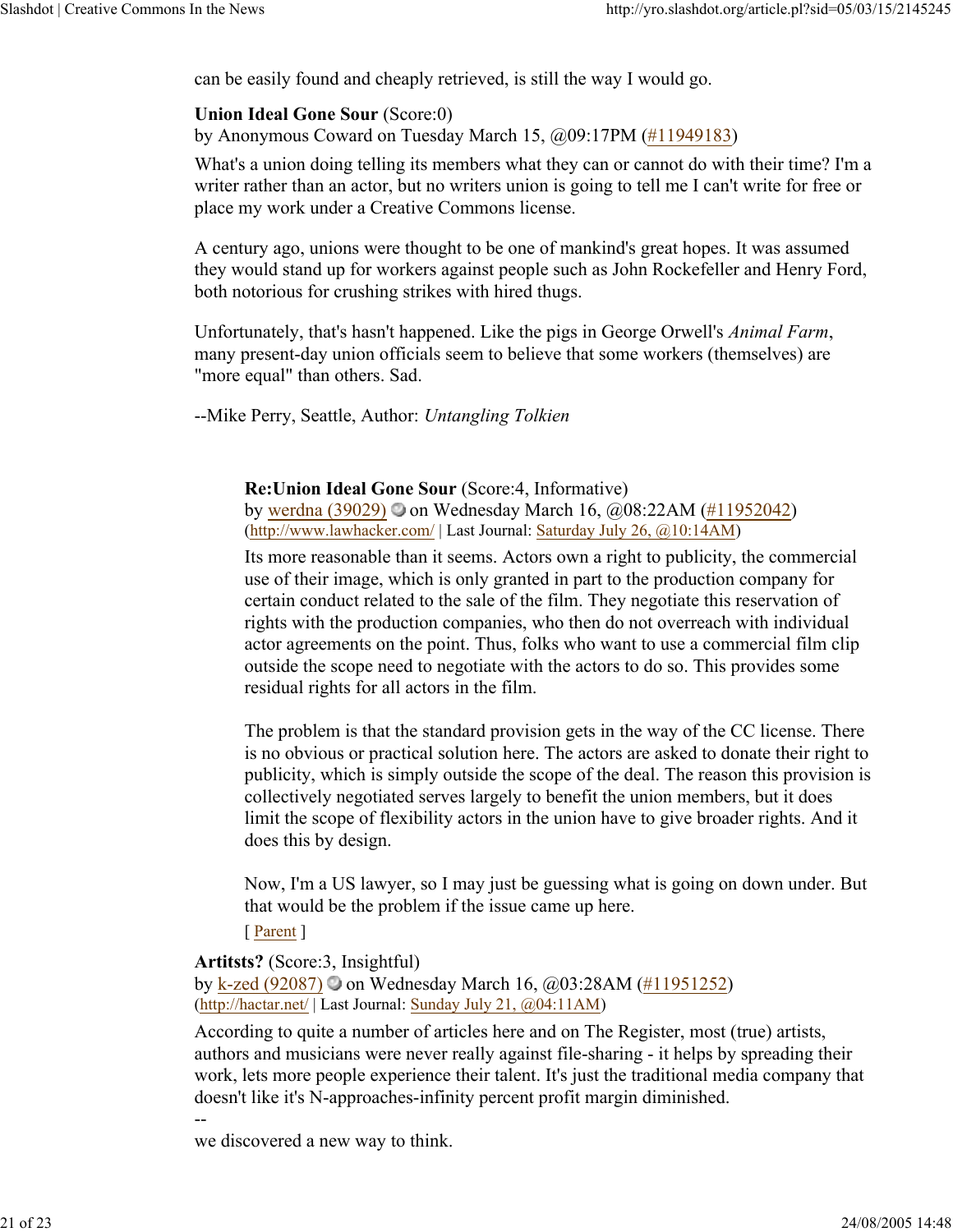can be easily found and cheaply retrieved, is still the way I would go.

## **Union Ideal Gone Sour** (Score:0)

by Anonymous Coward on Tuesday March 15, @09:17PM (#11949183)

What's a union doing telling its members what they can or cannot do with their time? I'm a writer rather than an actor, but no writers union is going to tell me I can't write for free or place my work under a Creative Commons license.

A century ago, unions were thought to be one of mankind's great hopes. It was assumed they would stand up for workers against people such as John Rockefeller and Henry Ford, both notorious for crushing strikes with hired thugs.

Unfortunately, that's hasn't happened. Like the pigs in George Orwell's *Animal Farm*, many present-day union officials seem to believe that some workers (themselves) are "more equal" than others. Sad.

--Mike Perry, Seattle, Author: *Untangling Tolkien*

**Re:Union Ideal Gone Sour** (Score:4, Informative) by werdna (39029) on Wednesday March 16, @08:22AM (#11952042)

(http://www.lawhacker.com/ | Last Journal: Saturday July 26, @10:14AM)

Its more reasonable than it seems. Actors own a right to publicity, the commercial use of their image, which is only granted in part to the production company for certain conduct related to the sale of the film. They negotiate this reservation of rights with the production companies, who then do not overreach with individual actor agreements on the point. Thus, folks who want to use a commercial film clip outside the scope need to negotiate with the actors to do so. This provides some residual rights for all actors in the film.

The problem is that the standard provision gets in the way of the CC license. There is no obvious or practical solution here. The actors are asked to donate their right to publicity, which is simply outside the scope of the deal. The reason this provision is collectively negotiated serves largely to benefit the union members, but it does limit the scope of flexibility actors in the union have to give broader rights. And it does this by design.

Now, I'm a US lawyer, so I may just be guessing what is going on down under. But that would be the problem if the issue came up here.

[ Parent ]

--

**Artitsts?** (Score:3, Insightful) by k-zed (92087)  $\bullet$  on Wednesday March 16,  $\omega$ 03:28AM (#11951252) (http://hactar.net/ | Last Journal: Sunday July 21, @04:11AM)

According to quite a number of articles here and on The Register, most (true) artists, authors and musicians were never really against file-sharing - it helps by spreading their work, lets more people experience their talent. It's just the traditional media company that doesn't like it's N-approaches-infinity percent profit margin diminished.

we discovered a new way to think.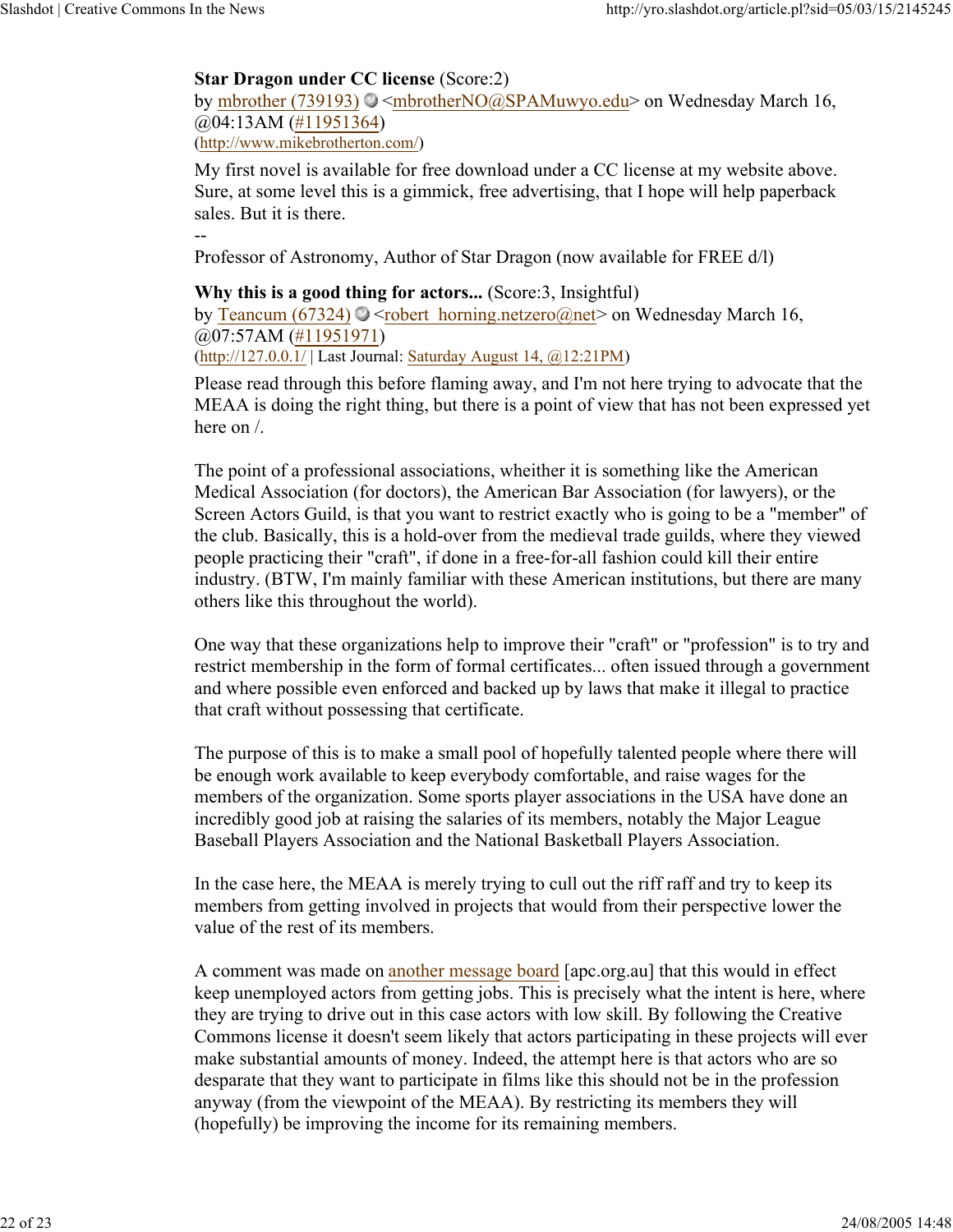## **Star Dragon under CC license** (Score:2)

by mbrother (739193)  $\odot$  <mbrotherNO@SPAMuwyo.edu> on Wednesday March 16, @04:13AM (#11951364) (http://www.mikebrotherton.com/)

My first novel is available for free download under a CC license at my website above. Sure, at some level this is a gimmick, free advertising, that I hope will help paperback sales. But it is there.

--

Professor of Astronomy, Author of Star Dragon (now available for FREE d/l)

**Why this is a good thing for actors...** (Score:3, Insightful) by Teancum (67324)  $\odot$  <robert horning.netzero@net> on Wednesday March 16, @07:57AM (#11951971) (http://127.0.0.1/ | Last Journal: Saturday August 14, @12:21PM)

Please read through this before flaming away, and I'm not here trying to advocate that the MEAA is doing the right thing, but there is a point of view that has not been expressed yet here on /.

The point of a professional associations, wheither it is something like the American Medical Association (for doctors), the American Bar Association (for lawyers), or the Screen Actors Guild, is that you want to restrict exactly who is going to be a "member" of the club. Basically, this is a hold-over from the medieval trade guilds, where they viewed people practicing their "craft", if done in a free-for-all fashion could kill their entire industry. (BTW, I'm mainly familiar with these American institutions, but there are many others like this throughout the world).

One way that these organizations help to improve their "craft" or "profession" is to try and restrict membership in the form of formal certificates... often issued through a government and where possible even enforced and backed up by laws that make it illegal to practice that craft without possessing that certificate.

The purpose of this is to make a small pool of hopefully talented people where there will be enough work available to keep everybody comfortable, and raise wages for the members of the organization. Some sports player associations in the USA have done an incredibly good job at raising the salaries of its members, notably the Major League Baseball Players Association and the National Basketball Players Association.

In the case here, the MEAA is merely trying to cull out the riff raff and try to keep its members from getting involved in projects that would from their perspective lower the value of the rest of its members.

A comment was made on another message board [apc.org.au] that this would in effect keep unemployed actors from getting jobs. This is precisely what the intent is here, where they are trying to drive out in this case actors with low skill. By following the Creative Commons license it doesn't seem likely that actors participating in these projects will ever make substantial amounts of money. Indeed, the attempt here is that actors who are so desparate that they want to participate in films like this should not be in the profession anyway (from the viewpoint of the MEAA). By restricting its members they will (hopefully) be improving the income for its remaining members.